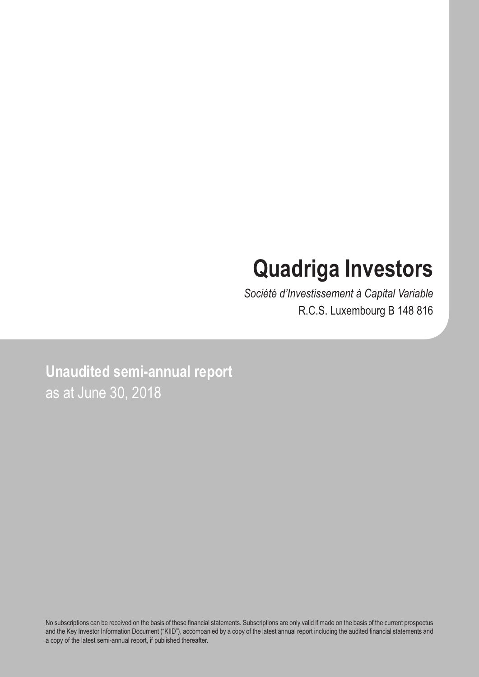# **Quadriga Investors**

*Société d'Investissement à Capital Variable* R.C.S. Luxembourg B 148 816

**Unaudited semi-annual report** as at June 30, 2018

No subscriptions can be received on the basis of these financial statements. Subscriptions are only valid if made on the basis of the current prospectus and the Key Investor Information Document ("KIID"), accompanied by a copy of the latest annual report including the audited financial statements and a copy of the latest semi-annual report, if published thereafter.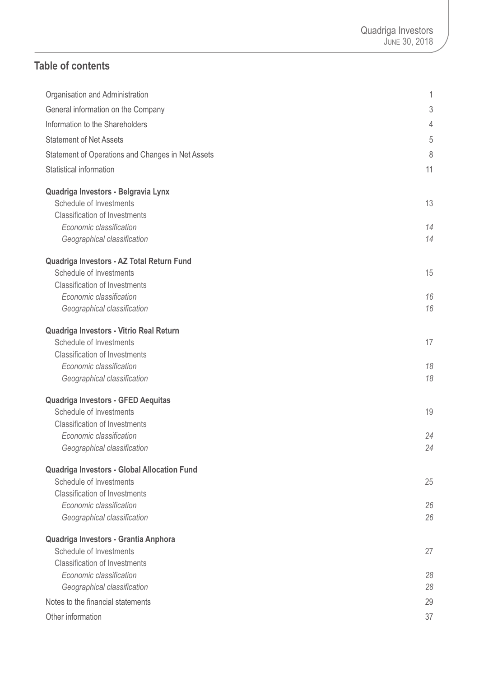### **Table of contents**

| Organisation and Administration                   | 1  |
|---------------------------------------------------|----|
| General information on the Company                | 3  |
| Information to the Shareholders                   | 4  |
| <b>Statement of Net Assets</b>                    | 5  |
|                                                   |    |
| Statement of Operations and Changes in Net Assets | 8  |
| Statistical information                           | 11 |
| Quadriga Investors - Belgravia Lynx               |    |
| Schedule of Investments                           | 13 |
| <b>Classification of Investments</b>              |    |
| Economic classification                           | 14 |
| Geographical classification                       | 14 |
| Quadriga Investors - AZ Total Return Fund         |    |
| Schedule of Investments                           | 15 |
| <b>Classification of Investments</b>              |    |
| Economic classification                           | 16 |
| Geographical classification                       | 16 |
|                                                   |    |
| Quadriga Investors - Vitrio Real Return           |    |
| Schedule of Investments                           | 17 |
| <b>Classification of Investments</b>              |    |
| Economic classification                           | 18 |
| Geographical classification                       | 18 |
| Quadriga Investors - GFED Aequitas                |    |
| Schedule of Investments                           | 19 |
| <b>Classification of Investments</b>              |    |
| Economic classification                           | 24 |
| Geographical classification                       | 24 |
| Quadriga Investors - Global Allocation Fund       |    |
| Schedule of Investments                           | 25 |
| <b>Classification of Investments</b>              |    |
| Economic classification                           | 26 |
| Geographical classification                       | 26 |
|                                                   |    |
| Quadriga Investors - Grantia Anphora              |    |
| Schedule of Investments                           | 27 |
| <b>Classification of Investments</b>              |    |
| Economic classification                           | 28 |
| Geographical classification                       | 28 |
| Notes to the financial statements                 | 29 |
| Other information                                 | 37 |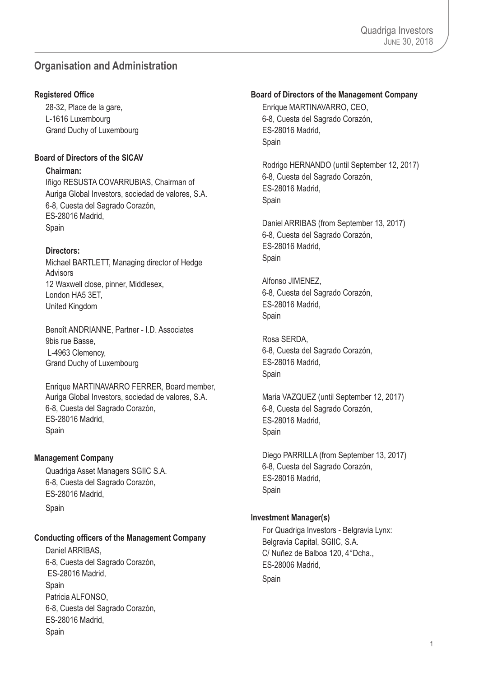### <span id="page-2-0"></span>**Organisation and Administration**

### **Registered Office**

28-32, Place de la gare, L-1616 Luxembourg Grand Duchy of Luxembourg

### **Board of Directors of the SICAV**

### **Chairman:**

Iñigo RESUSTA COVARRUBIAS, Chairman of Auriga Global Investors, sociedad de valores, S.A. 6-8, Cuesta del Sagrado Corazón, ES-28016 Madrid, Spain

### **Directors:**

Michael BARTLETT, Managing director of Hedge Advisors 12 Waxwell close, pinner, Middlesex, London HA5 3ET, United Kingdom

Benoît ANDRIANNE, Partner - I.D. Associates 9bis rue Basse, L-4963 Clemency, Grand Duchy of Luxembourg

Enrique MARTINAVARRO FERRER, Board member, Auriga Global Investors, sociedad de valores, S.A. 6-8, Cuesta del Sagrado Corazón, ES-28016 Madrid, **Spain** 

### **Management Company**

Quadriga Asset Managers SGIIC S.A. 6-8, Cuesta del Sagrado Corazón, ES-28016 Madrid, Spain

### **Conducting officers of the Management Company**

Daniel ARRIBAS, 6-8, Cuesta del Sagrado Corazón, ES-28016 Madrid, Spain Patricia ALFONSO, 6-8, Cuesta del Sagrado Corazón, ES-28016 Madrid, Spain

### **Board of Directors of the Management Company**

Enrique MARTINAVARRO, CEO, 6-8, Cuesta del Sagrado Corazón, ES-28016 Madrid, Spain

Rodrigo HERNANDO (until September 12, 2017) 6-8, Cuesta del Sagrado Corazón, ES-28016 Madrid, Spain

Daniel ARRIBAS (from September 13, 2017) 6-8, Cuesta del Sagrado Corazón, ES-28016 Madrid, Spain

Alfonso JIMENEZ, 6-8, Cuesta del Sagrado Corazón, ES-28016 Madrid, **Spain** 

Rosa SERDA, 6-8, Cuesta del Sagrado Corazón, ES-28016 Madrid, Spain

Maria VAZQUEZ (until September 12, 2017) 6-8, Cuesta del Sagrado Corazón, ES-28016 Madrid, Spain

Diego PARRILLA (from September 13, 2017) 6-8, Cuesta del Sagrado Corazón, ES-28016 Madrid, Spain

### **Investment Manager(s)**

For Quadriga Investors - Belgravia Lynx: Belgravia Capital, SGIIC, S.A. C/ Nuñez de Balboa 120, 4°Dcha., ES-28006 Madrid, Spain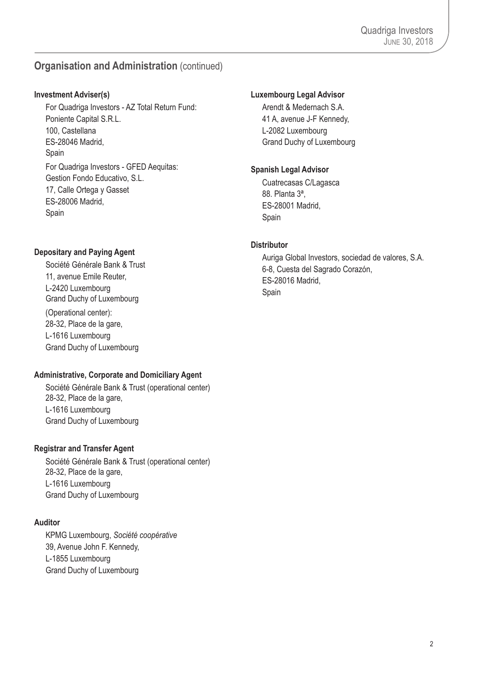### **Organisation and Administration** (continued)

### **Investment Adviser(s)**

For Quadriga Investors - AZ Total Return Fund: Poniente Capital S.R.L. 100, Castellana ES-28046 Madrid, Spain For Quadriga Investors - GFED Aequitas: Gestion Fondo Educativo, S.L. 17, Calle Ortega y Gasset ES-28006 Madrid, Spain

### **Depositary and Paying Agent**

Société Générale Bank & Trust 11, avenue Emile Reuter, L-2420 Luxembourg Grand Duchy of Luxembourg (Operational center): 28-32, Place de la gare, L-1616 Luxembourg Grand Duchy of Luxembourg

### **Administrative, Corporate and Domiciliary Agent**

Société Générale Bank & Trust (operational center) 28-32, Place de la gare, L-1616 Luxembourg Grand Duchy of Luxembourg

### **Registrar and Transfer Agent**

Société Générale Bank & Trust (operational center) 28-32, Place de la gare, L-1616 Luxembourg Grand Duchy of Luxembourg

### **Auditor**

KPMG Luxembourg, *Société coopérative* 39, Avenue John F. Kennedy, L-1855 Luxembourg Grand Duchy of Luxembourg

### **Luxembourg Legal Advisor**

Arendt & Medernach S.A. 41 A, avenue J-F Kennedy, L-2082 Luxembourg Grand Duchy of Luxembourg

### **Spanish Legal Advisor**

Cuatrecasas C/Lagasca 88. Planta 3ª, ES-28001 Madrid, Spain

### **Distributor**

Auriga Global Investors, sociedad de valores, S.A. 6-8, Cuesta del Sagrado Corazón, ES-28016 Madrid, Spain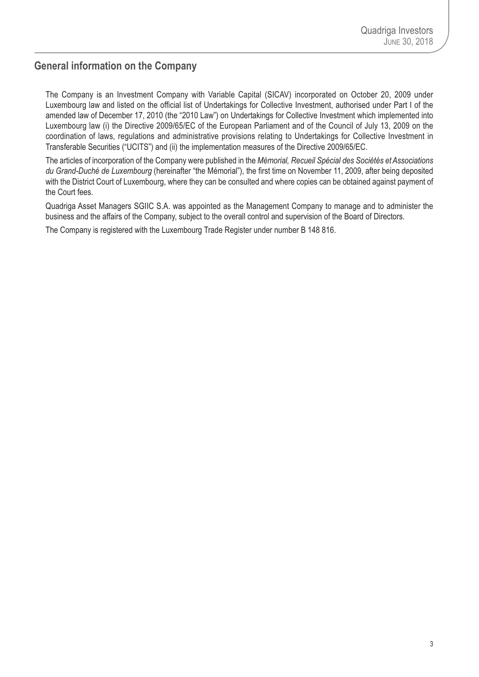### <span id="page-4-0"></span>**General information on the Company**

The Company is an Investment Company with Variable Capital (SICAV) incorporated on October 20, 2009 under Luxembourg law and listed on the official list of Undertakings for Collective Investment, authorised under Part I of the amended law of December 17, 2010 (the "2010 Law") on Undertakings for Collective Investment which implemented into Luxembourg law (i) the Directive 2009/65/EC of the European Parliament and of the Council of July 13, 2009 on the coordination of laws, regulations and administrative provisions relating to Undertakings for Collective Investment in Transferable Securities ("UCITS") and (ii) the implementation measures of the Directive 2009/65/EC.

The articles of incorporation of the Company were published in the *Mémorial, Recueil Spécial des Sociétés et Associations du Grand-Duché de Luxembourg* (hereinafter "the Mémorial"), the first time on November 11, 2009, after being deposited with the District Court of Luxembourg, where they can be consulted and where copies can be obtained against payment of the Court fees.

Quadriga Asset Managers SGIIC S.A. was appointed as the Management Company to manage and to administer the business and the affairs of the Company, subject to the overall control and supervision of the Board of Directors.

The Company is registered with the Luxembourg Trade Register under number B 148 816.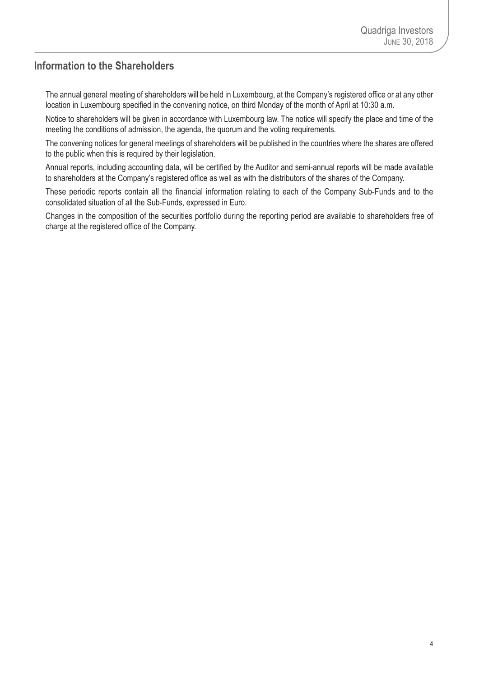### <span id="page-5-0"></span>**Information to the Shareholders**

The annual general meeting of shareholders will be held in Luxembourg, at the Company's registered office or at any other location in Luxembourg specified in the convening notice, on third Monday of the month of April at 10:30 a.m.

Notice to shareholders will be given in accordance with Luxembourg law. The notice will specify the place and time of the meeting the conditions of admission, the agenda, the quorum and the voting requirements.

The convening notices for general meetings of shareholders will be published in the countries where the shares are offered to the public when this is required by their legislation.

Annual reports, including accounting data, will be certified by the Auditor and semi-annual reports will be made available to shareholders at the Company's registered office as well as with the distributors of the shares of the Company.

These periodic reports contain all the financial information relating to each of the Company Sub-Funds and to the consolidated situation of all the Sub-Funds, expressed in Euro.

Changes in the composition of the securities portfolio during the reporting period are available to shareholders free of charge at the registered office of the Company.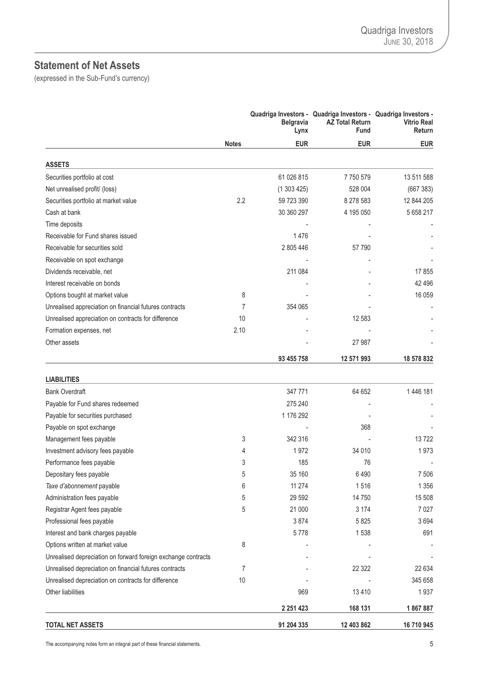### <span id="page-6-0"></span>**Statement of Net Assets**

(expressed in the Sub-Fund's currency)

|                                                               |              | <b>Belgravia</b><br>Lynx | Quadriga Investors - Quadriga Investors - Quadriga Investors -<br><b>AZ Total Return</b><br>Fund | <b>Vitrio Real</b><br>Return |
|---------------------------------------------------------------|--------------|--------------------------|--------------------------------------------------------------------------------------------------|------------------------------|
|                                                               | <b>Notes</b> | <b>EUR</b>               | <b>EUR</b>                                                                                       | <b>EUR</b>                   |
| <b>ASSETS</b>                                                 |              |                          |                                                                                                  |                              |
| Securities portfolio at cost                                  |              | 61 026 815               | 7750579                                                                                          | 13 511 588                   |
| Net unrealised profit/ (loss)                                 |              | (1303425)                | 528 004                                                                                          | (667383)                     |
| Securities portfolio at market value                          | 2.2          | 59 723 390               | 8 278 583                                                                                        | 12 844 205                   |
| Cash at bank                                                  |              | 30 360 297               | 4 195 050                                                                                        | 5 658 217                    |
| Time deposits                                                 |              |                          |                                                                                                  |                              |
| Receivable for Fund shares issued                             |              | 1476                     |                                                                                                  |                              |
| Receivable for securities sold                                |              | 2 805 446                | 57 790                                                                                           |                              |
| Receivable on spot exchange                                   |              |                          |                                                                                                  |                              |
| Dividends receivable, net                                     |              | 211 084                  |                                                                                                  | 17855                        |
| Interest receivable on bonds                                  |              |                          |                                                                                                  | 42 4 9 6                     |
| Options bought at market value                                | 8            |                          |                                                                                                  | 16 059                       |
| Unrealised appreciation on financial futures contracts        | 7            | 354 065                  |                                                                                                  |                              |
| Unrealised appreciation on contracts for difference           | 10           |                          | 12 583                                                                                           |                              |
| Formation expenses, net                                       | 2.10         |                          |                                                                                                  |                              |
| Other assets                                                  |              |                          | 27 987                                                                                           |                              |
|                                                               |              | 93 455 758               | 12 571 993                                                                                       | 18 578 832                   |
|                                                               |              |                          |                                                                                                  |                              |
| <b>LIABILITIES</b>                                            |              |                          |                                                                                                  |                              |
| <b>Bank Overdraft</b>                                         |              | 347 771                  | 64 652                                                                                           | 1446 181                     |
| Payable for Fund shares redeemed                              |              | 275 240                  |                                                                                                  |                              |
| Payable for securities purchased                              |              | 1 176 292                |                                                                                                  |                              |
| Payable on spot exchange                                      |              |                          | 368                                                                                              |                              |
| Management fees payable                                       | 3            | 342 316                  |                                                                                                  | 13722                        |
| Investment advisory fees payable                              | 4            | 1972                     | 34 010                                                                                           | 1973                         |
| Performance fees payable                                      | 3            | 185                      | 76                                                                                               |                              |
| Depositary fees payable                                       | 5            | 35 160                   | 6 4 9 0                                                                                          | 7 506                        |
| Taxe d'abonnement payable                                     | 6            | 11 274                   | 1516                                                                                             | 1 3 5 6                      |
| Administration fees payable                                   | 5            | 29 5 92                  | 14 750                                                                                           | 15 508                       |
| Registrar Agent fees payable                                  | 5            | 21 000                   | 3 1 7 4                                                                                          | 7 0 27                       |
| Professional fees payable                                     |              | 3874                     | 5 8 2 5                                                                                          | 3694                         |
| Interest and bank charges payable                             |              | 5778                     | 1538                                                                                             | 691                          |
| Options written at market value                               | 8            |                          |                                                                                                  |                              |
| Unrealised depreciation on forward foreign exchange contracts |              |                          |                                                                                                  |                              |
| Unrealised depreciation on financial futures contracts        | 7            |                          | 22 3 22                                                                                          | 22 634                       |
| Unrealised depreciation on contracts for difference           | 10           |                          |                                                                                                  | 345 658                      |
| Other liabilities                                             |              | 969                      | 13 4 10                                                                                          | 1937                         |
|                                                               |              | 2 2 5 1 4 2 3            | 168 131                                                                                          | 1867887                      |
| <b>TOTAL NET ASSETS</b>                                       |              | 91 204 335               | 12 403 862                                                                                       | 16 710 945                   |

The accompanying notes form an integral part of these financial statements. 5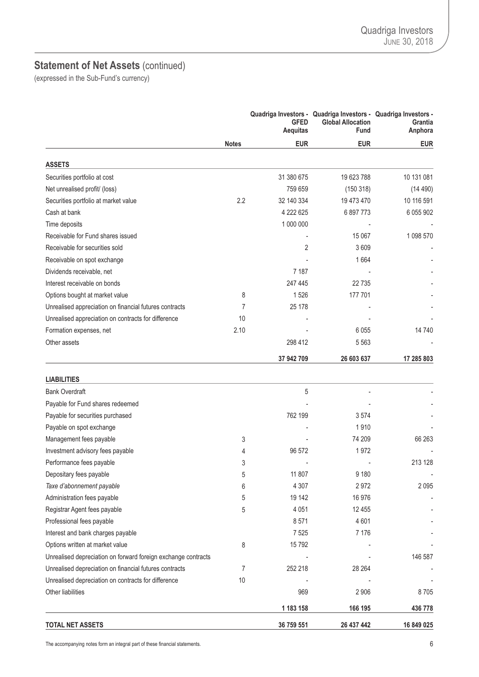### **Statement of Net Assets** (continued)

(expressed in the Sub-Fund's currency)

|                                                               |              | <b>GFED</b><br><b>Aequitas</b> | Quadriga Investors - Quadriga Investors - Quadriga Investors -<br><b>Global Allocation</b><br>Fund | <b>Grantia</b><br>Anphora |
|---------------------------------------------------------------|--------------|--------------------------------|----------------------------------------------------------------------------------------------------|---------------------------|
|                                                               | <b>Notes</b> | <b>EUR</b>                     | <b>EUR</b>                                                                                         | <b>EUR</b>                |
| <b>ASSETS</b>                                                 |              |                                |                                                                                                    |                           |
| Securities portfolio at cost                                  |              | 31 380 675                     | 19 623 788                                                                                         | 10 131 081                |
| Net unrealised profit/ (loss)                                 |              | 759 659                        | (150318)                                                                                           | (14 490)                  |
| Securities portfolio at market value                          | 2.2          | 32 140 334                     | 19 473 470                                                                                         | 10 116 591                |
| Cash at bank                                                  |              | 4 222 625                      | 6 897 773                                                                                          | 6 055 902                 |
| Time deposits                                                 |              | 1 000 000                      |                                                                                                    |                           |
| Receivable for Fund shares issued                             |              |                                | 15 067                                                                                             | 1 098 570                 |
| Receivable for securities sold                                |              | 2                              | 3609                                                                                               |                           |
| Receivable on spot exchange                                   |              |                                | 1664                                                                                               |                           |
| Dividends receivable, net                                     |              | 7 1 8 7                        |                                                                                                    |                           |
| Interest receivable on bonds                                  |              | 247 445                        | 22735                                                                                              |                           |
| Options bought at market value                                | 8            | 1526                           | 177 701                                                                                            |                           |
| Unrealised appreciation on financial futures contracts        | 7            | 25 178                         |                                                                                                    |                           |
| Unrealised appreciation on contracts for difference           | 10           |                                |                                                                                                    |                           |
| Formation expenses, net                                       | 2.10         |                                | 6 0 5 5                                                                                            | 14 740                    |
| Other assets                                                  |              | 298 412                        | 5 5 6 3                                                                                            |                           |
|                                                               |              | 37 942 709                     | 26 603 637                                                                                         | 17 285 803                |
| <b>LIABILITIES</b>                                            |              |                                |                                                                                                    |                           |
| <b>Bank Overdraft</b>                                         |              | 5                              |                                                                                                    |                           |
| Payable for Fund shares redeemed                              |              |                                |                                                                                                    |                           |
| Payable for securities purchased                              |              | 762 199                        | 3574                                                                                               |                           |
| Payable on spot exchange                                      |              |                                | 1910                                                                                               |                           |
| Management fees payable                                       | 3            |                                | 74 209                                                                                             | 66 263                    |
| Investment advisory fees payable                              | 4            | 96 572                         | 1972                                                                                               |                           |
| Performance fees payable                                      | 3            |                                |                                                                                                    | 213 128                   |
| Depositary fees payable                                       | 5            | 11 807                         | 9 1 8 0                                                                                            | $\overline{\phantom{a}}$  |
| Taxe d'abonnement payable                                     | 6            | 4 3 0 7                        | 2972                                                                                               | 2095                      |
| Administration fees payable                                   | 5            | 19 142                         | 16 976                                                                                             |                           |
| Registrar Agent fees payable                                  | 5            | 4 0 5 1                        | 12 455                                                                                             |                           |
| Professional fees payable                                     |              | 8571                           | 4601                                                                                               |                           |
| Interest and bank charges payable                             |              | 7 5 2 5                        | 7 1 7 6                                                                                            |                           |
| Options written at market value                               | 8            | 15792                          |                                                                                                    |                           |
| Unrealised depreciation on forward foreign exchange contracts |              |                                |                                                                                                    | 146 587                   |
| Unrealised depreciation on financial futures contracts        | 7            | 252 218                        | 28 264                                                                                             |                           |
| Unrealised depreciation on contracts for difference           | 10           |                                |                                                                                                    |                           |
| Other liabilities                                             |              | 969                            | 2 9 0 6                                                                                            | 8705                      |
|                                                               |              | 1 183 158                      | 166 195                                                                                            | 436 778                   |
| <b>TOTAL NET ASSETS</b>                                       |              | 36 759 551                     | 26 437 442                                                                                         | 16 849 025                |

The accompanying notes form an integral part of these financial statements. 6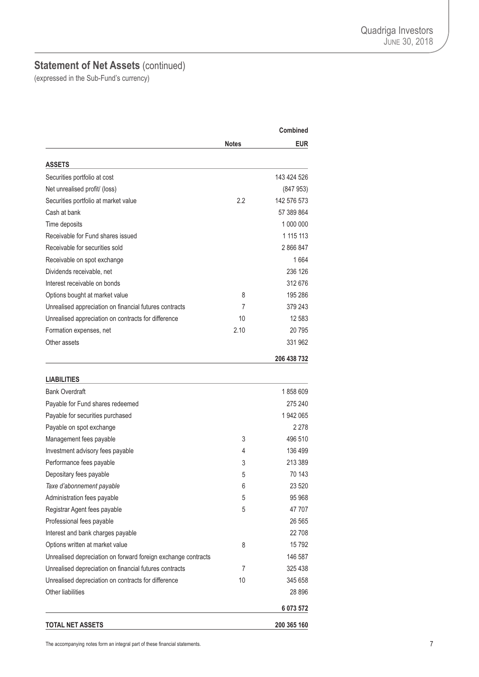### **Statement of Net Assets** (continued)

|                                                               |       | Combined    |
|---------------------------------------------------------------|-------|-------------|
|                                                               | Notes | <b>EUR</b>  |
| <b>ASSETS</b>                                                 |       |             |
| Securities portfolio at cost                                  |       | 143 424 526 |
| Net unrealised profit/ (loss)                                 |       | (847953)    |
| Securities portfolio at market value                          | 2.2   | 142 576 573 |
| Cash at bank                                                  |       | 57 389 864  |
| Time deposits                                                 |       | 1 000 000   |
| Receivable for Fund shares issued                             |       | 1 115 113   |
| Receivable for securities sold                                |       | 2866847     |
| Receivable on spot exchange                                   |       | 1664        |
| Dividends receivable, net                                     |       | 236 126     |
| Interest receivable on bonds                                  |       | 312 676     |
| Options bought at market value                                | 8     | 195 286     |
| Unrealised appreciation on financial futures contracts        | 7     | 379 243     |
| Unrealised appreciation on contracts for difference           | 10    | 12 583      |
| Formation expenses, net                                       | 2.10  | 20 795      |
| Other assets                                                  |       | 331 962     |
|                                                               |       | 206 438 732 |
|                                                               |       |             |
| <b>LIABILITIES</b>                                            |       |             |
| <b>Bank Overdraft</b>                                         |       | 1858609     |
| Payable for Fund shares redeemed                              |       | 275 240     |
| Payable for securities purchased                              |       | 1942065     |
| Payable on spot exchange                                      |       | 2 2 7 8     |
| Management fees payable                                       | 3     | 496 510     |
| Investment advisory fees payable                              | 4     | 136 499     |
| Performance fees payable                                      | 3     | 213 389     |
| Depositary fees payable                                       | 5     | 70 143      |
| Taxe d'abonnement payable                                     | 6     | 23 520      |
| Administration fees payable                                   | 5     | 95 968      |
| Registrar Agent fees payable                                  | 5     | 47 707      |
| Professional fees payable                                     |       | 26 5 65     |
| Interest and bank charges payable                             |       | 22 708      |
| Options written at market value                               | 8     | 15792       |
| Unrealised depreciation on forward foreign exchange contracts |       | 146 587     |
| Unrealised depreciation on financial futures contracts        | 7     | 325 438     |
| Unrealised depreciation on contracts for difference           | 10    | 345 658     |
| Other liabilities                                             |       | 28 896      |
|                                                               |       | 6 073 572   |
| <b>TOTAL NET ASSETS</b>                                       |       | 200 365 160 |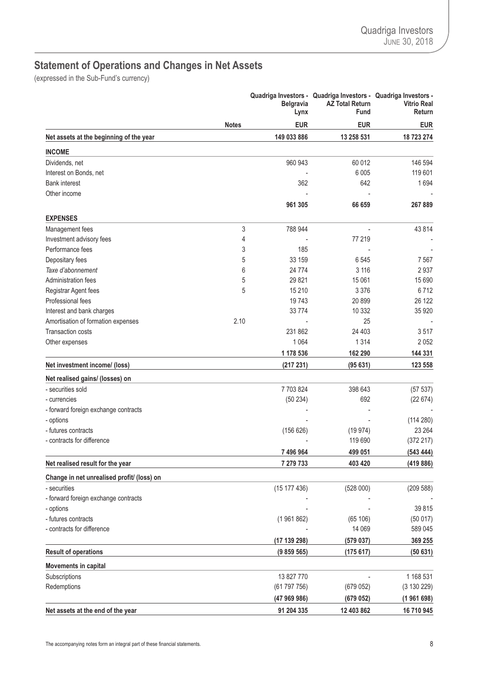# <span id="page-9-0"></span>**Statement of Operations and Changes in Net Assets**

|                                            |              | <b>Belgravia</b><br>Lynx | Quadriga Investors - Quadriga Investors - Quadriga Investors -<br><b>AZ Total Return</b><br>Fund | <b>Vitrio Real</b><br>Return |
|--------------------------------------------|--------------|--------------------------|--------------------------------------------------------------------------------------------------|------------------------------|
|                                            | <b>Notes</b> | <b>EUR</b>               | <b>EUR</b>                                                                                       | <b>EUR</b>                   |
| Net assets at the beginning of the year    |              | 149 033 886              | 13 258 531                                                                                       | 18 723 274                   |
| <b>INCOME</b>                              |              |                          |                                                                                                  |                              |
| Dividends, net                             |              | 960 943                  | 60 012                                                                                           | 146 594                      |
| Interest on Bonds, net                     |              |                          | 6 0 0 5                                                                                          | 119 601                      |
| <b>Bank interest</b>                       |              | 362                      | 642                                                                                              | 1694                         |
| Other income                               |              |                          |                                                                                                  |                              |
|                                            |              | 961 305                  | 66 659                                                                                           | 267889                       |
| <b>EXPENSES</b>                            |              |                          |                                                                                                  |                              |
| Management fees                            | 3            | 788 944                  |                                                                                                  | 43 8 14                      |
| Investment advisory fees                   | 4            |                          | 77 219                                                                                           |                              |
| Performance fees                           | 3            | 185                      |                                                                                                  |                              |
| Depositary fees                            | 5            | 33 159                   | 6545                                                                                             | 7 567                        |
| Taxe d'abonnement                          | 6            | 24 7 7 4                 | 3 1 1 6                                                                                          | 2937                         |
| Administration fees                        | 5            | 29 8 21                  | 15 061                                                                                           | 15 690                       |
| Registrar Agent fees                       | 5            | 15 210                   | 3 3 7 6                                                                                          | 6712                         |
| Professional fees                          |              | 19743                    | 20 899                                                                                           | 26 122                       |
| Interest and bank charges                  |              | 33774                    | 10 332                                                                                           | 35 920                       |
| Amortisation of formation expenses         | 2.10         |                          | 25                                                                                               |                              |
| <b>Transaction costs</b>                   |              | 231 862                  | 24 403                                                                                           | 3517                         |
| Other expenses                             |              | 1 0 6 4                  | 1 3 1 4                                                                                          | 2052                         |
|                                            |              | 1 178 536                | 162 290                                                                                          | 144 331                      |
| Net investment income/ (loss)              |              | (217231)                 | (95631)                                                                                          | 123 558                      |
| Net realised gains/ (losses) on            |              |                          |                                                                                                  |                              |
| - securities sold                          |              | 7703824                  | 398 643                                                                                          | (57 537)                     |
| - currencies                               |              | (50234)                  | 692                                                                                              | (22674)                      |
| - forward foreign exchange contracts       |              |                          |                                                                                                  |                              |
| - options                                  |              |                          |                                                                                                  | (114 280)                    |
| - futures contracts                        |              | (156626)                 | (19974)                                                                                          | 23 264                       |
| - contracts for difference                 |              |                          | 119 690                                                                                          | (372 217)                    |
|                                            |              | 7 496 964                | 499 051                                                                                          | (54344)                      |
| Net realised result for the year           |              | 7 279 733                | 403 420                                                                                          | (419886)                     |
| Change in net unrealised profit/ (loss) on |              |                          |                                                                                                  |                              |
| - securities                               |              | (15 177 436)             | (528000)                                                                                         | (209 588)                    |
| - forward foreign exchange contracts       |              |                          |                                                                                                  |                              |
| - options                                  |              |                          |                                                                                                  | 39 815                       |
| - futures contracts                        |              | (1961862)                | (65 106)                                                                                         | (50017)                      |
| - contracts for difference                 |              |                          | 14 069                                                                                           | 589 045                      |
|                                            |              | (17 139 298)             | (579037)                                                                                         | 369 255                      |
| <b>Result of operations</b>                |              | (9859565)                | (175617)                                                                                         | (50631)                      |
| <b>Movements in capital</b>                |              |                          |                                                                                                  |                              |
| Subscriptions                              |              | 13 827 770               |                                                                                                  | 1 168 531                    |
| Redemptions                                |              | (61797756)               | (679052)                                                                                         | (3 130 229)                  |
|                                            |              | (47969986)               | (679052)                                                                                         | (1961698)                    |
| Net assets at the end of the year          |              | 91 204 335               | 12 403 862                                                                                       | 16 710 945                   |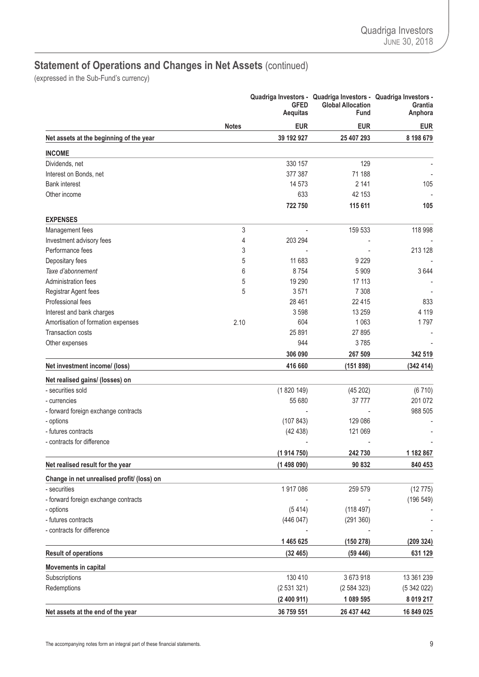# **Statement of Operations and Changes in Net Assets** (continued)

|                                            |              | <b>GFED</b><br><b>Aequitas</b> | Quadriga Investors - Quadriga Investors - Quadriga Investors -<br><b>Global Allocation</b><br>Fund | Grantia<br>Anphora |
|--------------------------------------------|--------------|--------------------------------|----------------------------------------------------------------------------------------------------|--------------------|
|                                            | <b>Notes</b> | <b>EUR</b>                     | <b>EUR</b>                                                                                         | <b>EUR</b>         |
| Net assets at the beginning of the year    |              | 39 192 927                     | 25 407 293                                                                                         | 8 198 679          |
| <b>INCOME</b>                              |              |                                |                                                                                                    |                    |
| Dividends, net                             |              | 330 157                        | 129                                                                                                |                    |
| Interest on Bonds, net                     |              | 377 387                        | 71 188                                                                                             |                    |
| <b>Bank interest</b>                       |              | 14 573                         | 2 1 4 1                                                                                            | 105                |
| Other income                               |              | 633                            | 42 153                                                                                             |                    |
|                                            |              | 722750                         | 115 611                                                                                            | 105                |
| <b>EXPENSES</b>                            |              |                                |                                                                                                    |                    |
| Management fees                            | 3            |                                | 159 533                                                                                            | 118 998            |
| Investment advisory fees                   | 4            | 203 294                        |                                                                                                    |                    |
| Performance fees                           | 3            |                                |                                                                                                    | 213 128            |
| Depositary fees                            | 5            | 11 683                         | 9 2 2 9                                                                                            |                    |
| Taxe d'abonnement                          | 6            | 8754                           | 5909                                                                                               | 3644               |
| Administration fees                        | 5            | 19 290                         | 17 113                                                                                             |                    |
| Registrar Agent fees                       | 5            | 3571                           | 7 3 0 8                                                                                            |                    |
| Professional fees                          |              | 28 4 61                        | 22 4 15                                                                                            | 833                |
| Interest and bank charges                  |              | 3598                           | 13 259                                                                                             | 4 1 1 9            |
| Amortisation of formation expenses         | 2.10         | 604                            | 1 0 6 3                                                                                            | 1797               |
| <b>Transaction costs</b>                   |              | 25 891                         | 27 895                                                                                             |                    |
| Other expenses                             |              | 944                            | 3785                                                                                               |                    |
|                                            |              | 306 090                        | 267 509                                                                                            | 342 519            |
| Net investment income/ (loss)              |              | 416 660                        | (151 898)                                                                                          | (342 414)          |
| Net realised gains/ (losses) on            |              |                                |                                                                                                    |                    |
| - securities sold                          |              | (1820149)                      | (45202)                                                                                            | (6710)             |
| - currencies                               |              | 55 680                         | 37 777                                                                                             | 201 072            |
| - forward foreign exchange contracts       |              |                                |                                                                                                    | 988 505            |
| - options                                  |              | (107843)                       | 129 086                                                                                            |                    |
| - futures contracts                        |              | (42438)                        | 121 069                                                                                            |                    |
| - contracts for difference                 |              |                                |                                                                                                    |                    |
|                                            |              | (1914750)                      | 242730                                                                                             | 1 182 867          |
| Net realised result for the year           |              | (1498090)                      | 90 832                                                                                             | 840 453            |
| Change in net unrealised profit/ (loss) on |              |                                |                                                                                                    |                    |
| - securities                               |              | 1917086                        | 259 579                                                                                            | (12775)            |
| - forward foreign exchange contracts       |              |                                |                                                                                                    | (196549)           |
| - options                                  |              | (5414)                         | (118497)                                                                                           |                    |
| - futures contracts                        |              | (446047)                       | (291360)                                                                                           |                    |
| - contracts for difference                 |              |                                |                                                                                                    |                    |
|                                            |              | 1465625                        | (150 278)                                                                                          | (209 324)          |
| <b>Result of operations</b>                |              | (32465)                        | (59446)                                                                                            | 631 129            |
| Movements in capital                       |              |                                |                                                                                                    |                    |
| Subscriptions                              |              | 130 410                        | 3673918                                                                                            | 13 361 239         |
| Redemptions                                |              | (2531321)                      | (2584323)                                                                                          | (5342022)          |
|                                            |              | (2400911)                      | 1 089 595                                                                                          | 8 0 19 2 17        |
| Net assets at the end of the year          |              | 36 759 551                     | 26 437 442                                                                                         | 16 849 025         |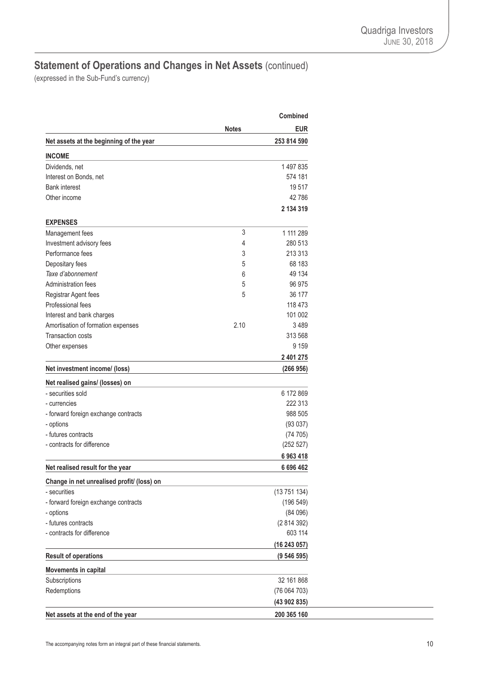# **Statement of Operations and Changes in Net Assets** (continued)

|                                            |              | <b>Combined</b> |
|--------------------------------------------|--------------|-----------------|
|                                            | <b>Notes</b> | <b>EUR</b>      |
| Net assets at the beginning of the year    |              | 253 814 590     |
| <b>INCOME</b>                              |              |                 |
| Dividends, net                             |              | 1497835         |
| Interest on Bonds, net                     |              | 574 181         |
| <b>Bank interest</b>                       |              | 19517           |
| Other income                               |              | 42786           |
|                                            |              | 2 134 319       |
| <b>EXPENSES</b>                            |              |                 |
| Management fees                            | 3            | 1 111 289       |
| Investment advisory fees                   | 4            | 280 513         |
| Performance fees                           | 3            | 213 313         |
| Depositary fees                            | 5            | 68 183          |
| Taxe d'abonnement                          | 6            | 49 134          |
| Administration fees                        | 5            | 96 975          |
| Registrar Agent fees                       | 5            | 36 177          |
| Professional fees                          |              | 118 473         |
| Interest and bank charges                  |              | 101 002         |
| Amortisation of formation expenses         | 2.10         | 3489            |
| <b>Transaction costs</b>                   |              | 313 568         |
| Other expenses                             |              | 9 1 5 9         |
|                                            |              | 2 401 275       |
| Net investment income/ (loss)              |              | (266956)        |
| Net realised gains/ (losses) on            |              |                 |
| - securities sold                          |              | 6 172 869       |
| - currencies                               |              | 222 313         |
| - forward foreign exchange contracts       |              | 988 505         |
| - options                                  |              | (93037)         |
| - futures contracts                        |              | (74705)         |
| - contracts for difference                 |              | (252 527)       |
|                                            |              | 6963418         |
| Net realised result for the year           |              | 6 696 462       |
| Change in net unrealised profit/ (loss) on |              |                 |
| - securities                               |              | (13751134)      |
| - forward foreign exchange contracts       |              | (196549)        |
| - options                                  |              | (84096)         |
| - futures contracts                        |              | (2814392)       |
| - contracts for difference                 |              | 603 114         |
|                                            |              | (16243057)      |
| <b>Result of operations</b>                |              | (9546595)       |
| Movements in capital                       |              |                 |
| Subscriptions                              |              | 32 161 868      |
| Redemptions                                |              | (76 064 703)    |
|                                            |              |                 |
|                                            |              | (43902835)      |
| Net assets at the end of the year          |              | 200 365 160     |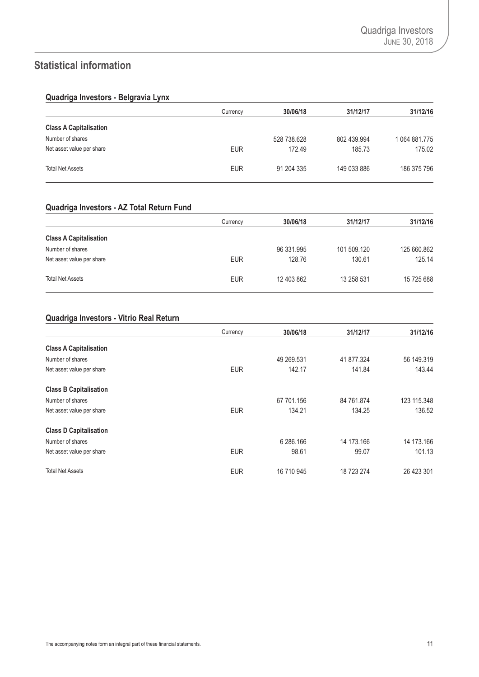### <span id="page-12-0"></span>**Statistical information**

### **Quadriga Investors - Belgravia Lynx**

|                               | Currency   | 30/06/18    | 31/12/17    | 31/12/16      |
|-------------------------------|------------|-------------|-------------|---------------|
| <b>Class A Capitalisation</b> |            |             |             |               |
| Number of shares              |            | 528 738.628 | 802 439.994 | 1 064 881.775 |
| Net asset value per share     | <b>EUR</b> | 172.49      | 185.73      | 175.02        |
| <b>Total Net Assets</b>       | <b>EUR</b> | 91 204 335  | 149 033 886 | 186 375 796   |

### **Quadriga Investors - AZ Total Return Fund**

|                               | Currency   | 30/06/18   | 31/12/17    | 31/12/16    |
|-------------------------------|------------|------------|-------------|-------------|
| <b>Class A Capitalisation</b> |            |            |             |             |
| Number of shares              |            | 96 331.995 | 101 509.120 | 125 660.862 |
| Net asset value per share     | <b>EUR</b> | 128.76     | 130.61      | 125.14      |
| <b>Total Net Assets</b>       | <b>EUR</b> | 12 403 862 | 13 258 531  | 15 725 688  |

### **Quadriga Investors - Vitrio Real Return**

|                               | Currency   | 30/06/18   | 31/12/17   | 31/12/16    |
|-------------------------------|------------|------------|------------|-------------|
| <b>Class A Capitalisation</b> |            |            |            |             |
| Number of shares              |            | 49 269.531 | 41 877.324 | 56 149.319  |
| Net asset value per share     | <b>EUR</b> | 142.17     | 141.84     | 143.44      |
| <b>Class B Capitalisation</b> |            |            |            |             |
| Number of shares              |            | 67 701.156 | 84 761.874 | 123 115.348 |
| Net asset value per share     | <b>EUR</b> | 134.21     | 134.25     | 136.52      |
| <b>Class D Capitalisation</b> |            |            |            |             |
| Number of shares              |            | 6 286.166  | 14 173.166 | 14 173.166  |
| Net asset value per share     | <b>EUR</b> | 98.61      | 99.07      | 101.13      |
| <b>Total Net Assets</b>       | <b>EUR</b> | 16 710 945 | 18 723 274 | 26 423 301  |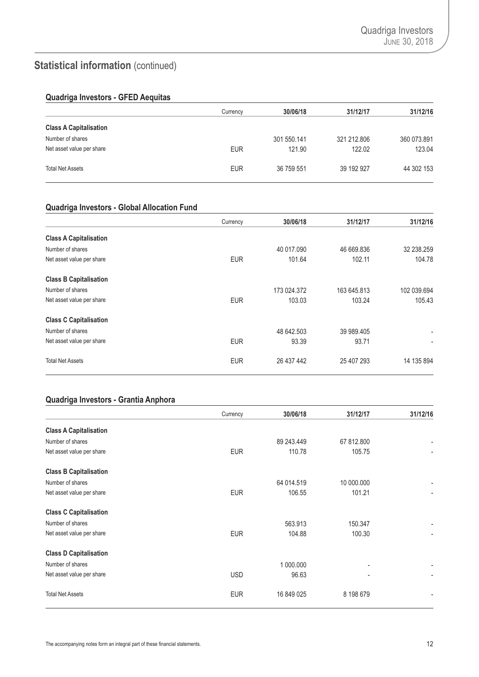# **Statistical information** (continued)

### **Quadriga Investors - GFED Aequitas**

|                               | Currency   | 30/06/18    | 31/12/17    | 31/12/16    |
|-------------------------------|------------|-------------|-------------|-------------|
| <b>Class A Capitalisation</b> |            |             |             |             |
| Number of shares              |            | 301 550.141 | 321 212,806 | 360 073.891 |
| Net asset value per share     | <b>EUR</b> | 121.90      | 122.02      | 123.04      |
| <b>Total Net Assets</b>       | <b>EUR</b> | 36 759 551  | 39 192 927  | 44 302 153  |

#### **Quadriga Investors - Global Allocation Fund**

|                               | Currency   | 30/06/18    | 31/12/17    | 31/12/16                 |
|-------------------------------|------------|-------------|-------------|--------------------------|
| <b>Class A Capitalisation</b> |            |             |             |                          |
| Number of shares              |            | 40 017.090  | 46 669.836  | 32 238.259               |
| Net asset value per share     | <b>EUR</b> | 101.64      | 102.11      | 104.78                   |
| <b>Class B Capitalisation</b> |            |             |             |                          |
| Number of shares              |            | 173 024.372 | 163 645.813 | 102 039.694              |
| Net asset value per share     | <b>EUR</b> | 103.03      | 103.24      | 105.43                   |
| <b>Class C Capitalisation</b> |            |             |             |                          |
| Number of shares              |            | 48 642.503  | 39 989.405  | $\overline{\phantom{a}}$ |
| Net asset value per share     | <b>EUR</b> | 93.39       | 93.71       | ۰                        |
| <b>Total Net Assets</b>       | <b>EUR</b> | 26 437 442  | 25 407 293  | 14 135 894               |

### **Quadriga Investors - Grantia Anphora**

|                               | Currency   | 30/06/18   | 31/12/17   | 31/12/16       |
|-------------------------------|------------|------------|------------|----------------|
| <b>Class A Capitalisation</b> |            |            |            |                |
| Number of shares              |            | 89 243.449 | 67 812,800 |                |
| Net asset value per share     | <b>EUR</b> | 110.78     | 105.75     |                |
| <b>Class B Capitalisation</b> |            |            |            |                |
| Number of shares              |            | 64 014.519 | 10 000,000 |                |
| Net asset value per share     | <b>EUR</b> | 106.55     | 101.21     | $\blacksquare$ |
| <b>Class C Capitalisation</b> |            |            |            |                |
| Number of shares              |            | 563.913    | 150.347    |                |
| Net asset value per share     | <b>EUR</b> | 104.88     | 100.30     |                |
| <b>Class D Capitalisation</b> |            |            |            |                |
| Number of shares              |            | 1 000.000  |            | -              |
| Net asset value per share     | <b>USD</b> | 96.63      |            | ۰              |
| <b>Total Net Assets</b>       | <b>EUR</b> | 16 849 025 | 8 198 679  | ۰              |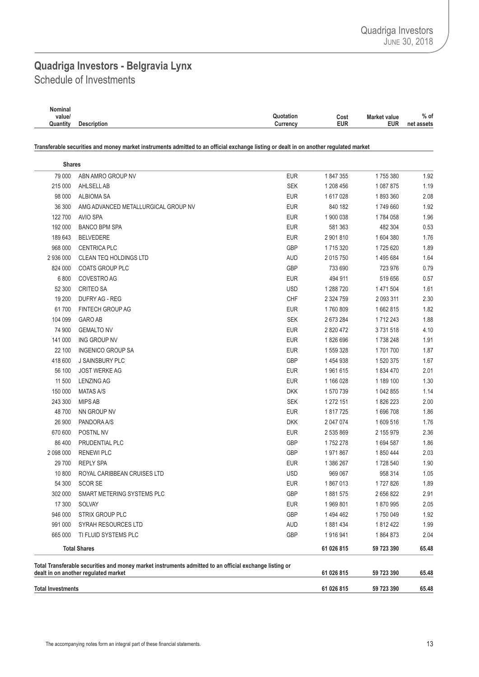## <span id="page-14-0"></span>Schedule of Investments **Quadriga Investors - Belgravia Lynx**

| Nominal  |                    |                                          |            |
|----------|--------------------|------------------------------------------|------------|
| value/   |                    | Quotation<br><b>Market value</b><br>Cost | $%$ of     |
| Quantity | <b>Description</b> | <b>EUR</b><br>EUR<br>Currency            | net assets |

Transferable securities and money market instruments admitted to an official exchange listing or dealt in on another regulated market

| <b>Shares</b>            |                                                                                                                                                |            |               |            |       |
|--------------------------|------------------------------------------------------------------------------------------------------------------------------------------------|------------|---------------|------------|-------|
| 79 000                   | ABN AMRO GROUP NV                                                                                                                              | <b>EUR</b> | 1847355       | 1755380    | 1.92  |
| 215 000                  | AHLSELL AB                                                                                                                                     | <b>SEK</b> | 1 208 456     | 1087875    | 1.19  |
| 98 000                   | <b>ALBIOMA SA</b>                                                                                                                              | <b>EUR</b> | 1617028       | 1893360    | 2.08  |
| 36 300                   | AMG ADVANCED METALLURGICAL GROUP NV                                                                                                            | <b>EUR</b> | 840 182       | 1749 660   | 1.92  |
| 122 700                  | AVIO SPA                                                                                                                                       | <b>EUR</b> | 1 900 038     | 1784 058   | 1.96  |
| 192 000                  | <b>BANCO BPM SPA</b>                                                                                                                           | <b>EUR</b> | 581 363       | 482 304    | 0.53  |
| 189 643                  | <b>BELVEDERE</b>                                                                                                                               | <b>EUR</b> | 2 901 810     | 1604380    | 1.76  |
| 968 000                  | <b>CENTRICA PLC</b>                                                                                                                            | GBP        | 1715320       | 1725 620   | 1.89  |
| 2 936 000                | CLEAN TEQ HOLDINGS LTD                                                                                                                         | <b>AUD</b> | 2 015 750     | 1495684    | 1.64  |
| 824 000                  | <b>COATS GROUP PLC</b>                                                                                                                         | GBP        | 733 690       | 723 976    | 0.79  |
| 6 800                    | COVESTRO AG                                                                                                                                    | <b>EUR</b> | 494 911       | 519 656    | 0.57  |
| 52 300                   | <b>CRITEO SA</b>                                                                                                                               | <b>USD</b> | 1 288 7 20    | 1471504    | 1.61  |
| 19 200                   | DUFRY AG - REG                                                                                                                                 | CHF        | 2 3 2 4 7 5 9 | 2 093 311  | 2.30  |
| 61700                    | <b>FINTECH GROUP AG</b>                                                                                                                        | <b>EUR</b> | 1760809       | 1662815    | 1.82  |
| 104 099                  | <b>GARO AB</b>                                                                                                                                 | <b>SEK</b> | 2673284       | 1712 243   | 1.88  |
| 74 900                   | <b>GEMALTO NV</b>                                                                                                                              | <b>EUR</b> | 2 820 472     | 3731518    | 4.10  |
| 141 000                  | ING GROUP NV                                                                                                                                   | <b>EUR</b> | 1826696       | 1738 248   | 1.91  |
| 22 100                   | <b>INGENICO GROUP SA</b>                                                                                                                       | <b>EUR</b> | 1 559 328     | 1701700    | 1.87  |
| 418 600                  | J SAINSBURY PLC                                                                                                                                | GBP        | 1454938       | 1 520 375  | 1.67  |
| 56 100                   | <b>JOST WERKE AG</b>                                                                                                                           | <b>EUR</b> | 1961615       | 1834 470   | 2.01  |
| 11 500                   | <b>LENZING AG</b>                                                                                                                              | <b>EUR</b> | 1 166 028     | 1 189 100  | 1.30  |
| 150 000                  | <b>MATAS A/S</b>                                                                                                                               | <b>DKK</b> | 1 570 739     | 1 042 855  | 1.14  |
| 243 300                  | <b>MIPS AB</b>                                                                                                                                 | <b>SEK</b> | 1 272 151     | 1826223    | 2.00  |
| 48700                    | NN GROUP NV                                                                                                                                    | <b>EUR</b> | 1817725       | 1696708    | 1.86  |
| 26 900                   | PANDORA A/S                                                                                                                                    | <b>DKK</b> | 2 047 074     | 1609516    | 1.76  |
| 670 600                  | POSTNL NV                                                                                                                                      | <b>EUR</b> | 2 535 869     | 2 155 979  | 2.36  |
| 86 400                   | PRUDENTIAL PLC                                                                                                                                 | GBP        | 1752 278      | 1694 587   | 1.86  |
| 2 098 000                | <b>RENEWI PLC</b>                                                                                                                              | GBP        | 1971867       | 1850444    | 2.03  |
| 29 700                   | <b>REPLY SPA</b>                                                                                                                               | <b>EUR</b> | 1 386 267     | 1728 540   | 1.90  |
| 10 800                   | ROYAL CARIBBEAN CRUISES LTD                                                                                                                    | <b>USD</b> | 969 067       | 958 314    | 1.05  |
| 54 300                   | <b>SCOR SE</b>                                                                                                                                 | <b>EUR</b> | 1867013       | 1727826    | 1.89  |
| 302 000                  | SMART METERING SYSTEMS PLC                                                                                                                     | GBP        | 1881575       | 2656822    | 2.91  |
| 17 300                   | SOLVAY                                                                                                                                         | <b>EUR</b> | 1969801       | 1870995    | 2.05  |
| 946 000                  | <b>STRIX GROUP PLC</b>                                                                                                                         | GBP        | 1494462       | 1750049    | 1.92  |
| 991 000                  | SYRAH RESOURCES LTD                                                                                                                            | <b>AUD</b> | 1881434       | 1812422    | 1.99  |
| 665 000                  | TI FLUID SYSTEMS PLC                                                                                                                           | GBP        | 1916941       | 1864873    | 2.04  |
|                          | <b>Total Shares</b>                                                                                                                            |            | 61 026 815    | 59 723 390 | 65.48 |
|                          | Total Transferable securities and money market instruments admitted to an official exchange listing or<br>dealt in on another regulated market |            | 61 026 815    | 59 723 390 | 65.48 |
| <b>Total Investments</b> |                                                                                                                                                |            | 61 026 815    | 59 723 390 | 65.48 |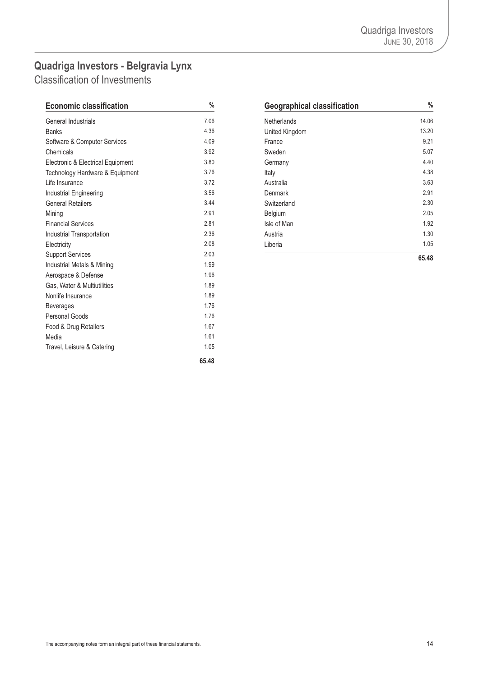# <span id="page-15-0"></span>**Quadriga Investors - Belgravia Lynx**

Classification of Investments

| <b>Economic classification</b>    | $\%$     | <b>Geographical classification</b> | $\frac{0}{6}$ |
|-----------------------------------|----------|------------------------------------|---------------|
| <b>General Industrials</b>        | 7.06     | <b>Netherlands</b>                 | 14.06         |
| <b>Banks</b>                      | 4.36     | United Kingdom                     | 13.20         |
| Software & Computer Services      | 4.09     | France                             | 9.21          |
| Chemicals                         | 3.92     | Sweden                             | 5.07          |
| Electronic & Electrical Equipment | 3.80     | Germany                            | 4.40          |
| Technology Hardware & Equipment   | 3.76     | Italy                              | 4.38          |
| Life Insurance                    | 3.72     | Australia                          | 3.63          |
| Industrial Engineering            | 3.56     | Denmark                            | 2.91          |
| <b>General Retailers</b>          | 3.44     | Switzerland                        | 2.30          |
| Mining                            | 2.91     | Belgium                            | 2.05          |
| <b>Financial Services</b>         | 2.81     | Isle of Man                        | 1.92          |
| Industrial Transportation         | 2.36     | Austria                            | 1.30          |
| Electricity                       | 2.08     | Liberia                            | 1.05          |
| <b>Support Services</b>           | 2.03     |                                    | 65.48         |
| Industrial Metals & Mining        | 1.99     |                                    |               |
| Aerospace & Defense               | 1.96     |                                    |               |
| Gas, Water & Multiutilities       | 1.89     |                                    |               |
| Nonlife Insurance                 | 1.89     |                                    |               |
| <b>Beverages</b>                  | 1.76     |                                    |               |
| <b>Personal Goods</b>             | 1.76     |                                    |               |
| Food & Drug Retailers             | 1.67     |                                    |               |
| Media                             | 1.61     |                                    |               |
| Travel, Leisure & Catering        | 1.05     |                                    |               |
|                                   | $0 - 10$ |                                    |               |

| <b>Economic classification</b>    | $\%$ | <b>Geographical classification</b> | $\%$  |
|-----------------------------------|------|------------------------------------|-------|
| General Industrials               | 7.06 | <b>Netherlands</b>                 | 14.06 |
| <b>Banks</b>                      | 4.36 | United Kingdom                     | 13.20 |
| Software & Computer Services      | 4.09 | France                             | 9.21  |
| Chemicals                         | 3.92 | Sweden                             | 5.07  |
| Electronic & Electrical Equipment | 3.80 | Germany                            | 4.40  |
| Technology Hardware & Equipment   | 3.76 | Italy                              | 4.38  |
| Life Insurance                    | 3.72 | Australia                          | 3.63  |
| Industrial Engineering            | 3.56 | Denmark                            | 2.91  |
| General Retailers                 | 3.44 | Switzerland                        | 2.30  |
| Mining                            | 2.91 | Belgium                            | 2.05  |
| <b>Financial Services</b>         | 2.81 | Isle of Man                        | 1.92  |
| Industrial Transportation         | 2.36 | Austria                            | 1.30  |
| Electricity                       | 2.08 | Liberia                            | 1.05  |
| <b>Support Services</b>           | 2.03 |                                    | 6548  |

**65.48**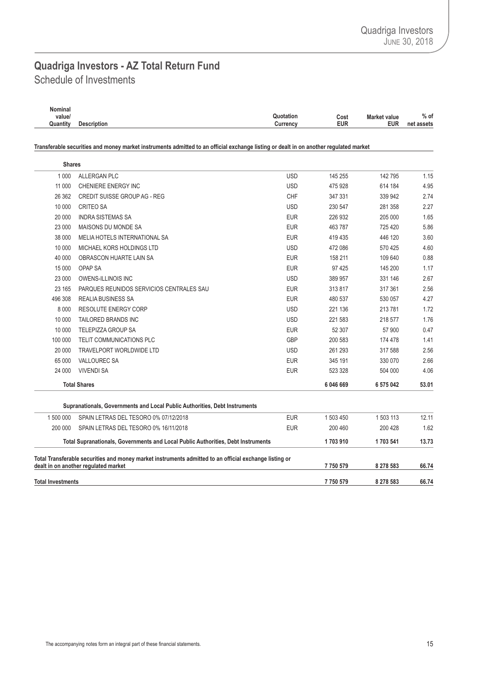### <span id="page-16-0"></span>Schedule of Investments **Quadriga Investors - AZ Total Return Fund**

| Nominal  |                    |                                          |            |
|----------|--------------------|------------------------------------------|------------|
| value/   |                    | Quotation<br><b>Market value</b><br>Cost | $%$ of     |
| Quantity | <b>Description</b> | <b>EUR</b><br><b>EUR</b><br>Currency     | net assets |
|          |                    |                                          |            |

Transferable securities and money market instruments admitted to an official exchange listing or dealt in on another regulated market

| <b>Shares</b>            |                                                                                                                                                |            |           |           |       |
|--------------------------|------------------------------------------------------------------------------------------------------------------------------------------------|------------|-----------|-----------|-------|
| 1 0 0 0                  | ALLERGAN PLC                                                                                                                                   | <b>USD</b> | 145 255   | 142795    | 1.15  |
| 11 000                   | CHENIERE ENERGY INC                                                                                                                            | <b>USD</b> | 475928    | 614 184   | 4.95  |
| 26 362                   | <b>CREDIT SUISSE GROUP AG - REG</b>                                                                                                            | CHF        | 347 331   | 339 942   | 2.74  |
| 10 000                   | <b>CRITEO SA</b>                                                                                                                               | <b>USD</b> | 230 547   | 281 358   | 2.27  |
| 20 000                   | <b>INDRA SISTEMAS SA</b>                                                                                                                       | <b>EUR</b> | 226 932   | 205 000   | 1.65  |
| 23 000                   | MAISONS DU MONDE SA                                                                                                                            | <b>EUR</b> | 463787    | 725 420   | 5.86  |
| 38 000                   | MELIA HOTELS INTERNATIONAL SA                                                                                                                  | <b>EUR</b> | 419 435   | 446 120   | 3.60  |
| 10 000                   | MICHAEL KORS HOLDINGS LTD                                                                                                                      | <b>USD</b> | 472 086   | 570 425   | 4.60  |
| 40 000                   | OBRASCON HUARTE LAIN SA                                                                                                                        | <b>EUR</b> | 158 211   | 109 640   | 0.88  |
| 15 000                   | OPAP SA                                                                                                                                        | <b>EUR</b> | 97 4 25   | 145 200   | 1.17  |
| 23 000                   | <b>OWENS-ILLINOIS INC</b>                                                                                                                      | <b>USD</b> | 389 957   | 331 146   | 2.67  |
| 23 165                   | PARQUES REUNIDOS SERVICIOS CENTRALES SAU                                                                                                       | <b>EUR</b> | 313817    | 317 361   | 2.56  |
| 496 308                  | <b>REALIA BUSINESS SA</b>                                                                                                                      | <b>EUR</b> | 480 537   | 530 057   | 4.27  |
| 8 0 0 0                  | <b>RESOLUTE ENERGY CORP</b>                                                                                                                    | <b>USD</b> | 221 136   | 213 781   | 1.72  |
| 10 000                   | TAILORED BRANDS INC                                                                                                                            | <b>USD</b> | 221 583   | 218 577   | 1.76  |
| 10 000                   | <b>TELEPIZZA GROUP SA</b>                                                                                                                      | <b>EUR</b> | 52 307    | 57 900    | 0.47  |
| 100 000                  | TELIT COMMUNICATIONS PLC                                                                                                                       | GBP        | 200 583   | 174 478   | 1.41  |
| 20 000                   | TRAVELPORT WORLDWIDE LTD                                                                                                                       | <b>USD</b> | 261 293   | 317 588   | 2.56  |
| 65 000                   | <b>VALLOUREC SA</b>                                                                                                                            | <b>EUR</b> | 345 191   | 330 070   | 2.66  |
| 24 000                   | <b>VIVENDI SA</b>                                                                                                                              | <b>EUR</b> | 523 328   | 504 000   | 4.06  |
|                          | <b>Total Shares</b>                                                                                                                            |            | 6 046 669 | 6 575 042 | 53.01 |
|                          | Supranationals, Governments and Local Public Authorities, Debt Instruments                                                                     |            |           |           |       |
| 1 500 000                | SPAIN LETRAS DEL TESORO 0% 07/12/2018                                                                                                          | <b>EUR</b> | 1 503 450 | 1 503 113 | 12.11 |
| 200 000                  | SPAIN LETRAS DEL TESORO 0% 16/11/2018                                                                                                          | <b>EUR</b> | 200 460   | 200 428   | 1.62  |
|                          | Total Supranationals, Governments and Local Public Authorities, Debt Instruments                                                               |            |           | 1703 541  | 13.73 |
|                          | Total Transferable securities and money market instruments admitted to an official exchange listing or<br>dealt in on another regulated market |            | 7750579   | 8 278 583 | 66.74 |
| <b>Total Investments</b> |                                                                                                                                                |            | 7750579   | 8 278 583 | 66.74 |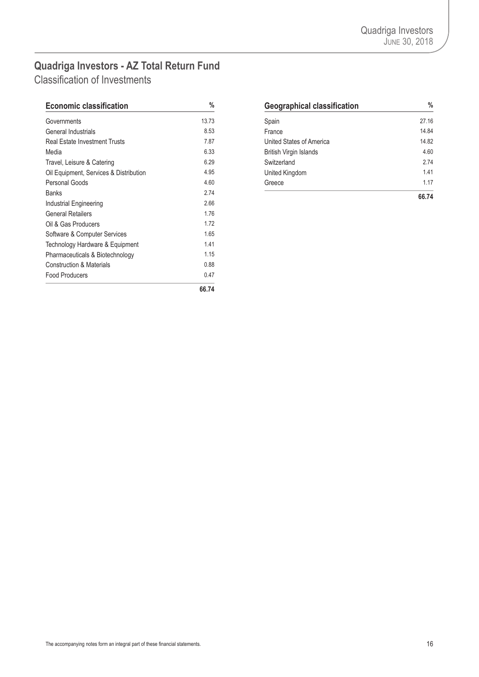### <span id="page-17-0"></span>**Quadriga Investors - AZ Total Return Fund** Classification of Investments

| <b>Economic classification</b>         | $\%$  | <b>Geographical classification</b> | $\frac{0}{6}$ |
|----------------------------------------|-------|------------------------------------|---------------|
| Governments                            | 13.73 | Spain                              | 27.16         |
| General Industrials                    | 8.53  | France                             | 14.84         |
| <b>Real Estate Investment Trusts</b>   | 7.87  | United States of America           | 14.82         |
| Media                                  | 6.33  | <b>British Virgin Islands</b>      | 4.60          |
| Travel, Leisure & Catering             | 6.29  | Switzerland                        | 2.74          |
| Oil Equipment, Services & Distribution | 4.95  | United Kingdom                     | 1.41          |
| Personal Goods                         | 4.60  | Greece                             | 1.17          |
| <b>Banks</b>                           | 2.74  |                                    | 66.74         |
| Industrial Engineering                 | 2.66  |                                    |               |
| <b>General Retailers</b>               | 1.76  |                                    |               |
| Oil & Gas Producers                    | 1.72  |                                    |               |
| Software & Computer Services           | 1.65  |                                    |               |
| Technology Hardware & Equipment        | 1.41  |                                    |               |
| Pharmaceuticals & Biotechnology        | 1.15  |                                    |               |
| <b>Construction &amp; Materials</b>    | 0.88  |                                    |               |
| <b>Food Producers</b>                  | 0.47  |                                    |               |
|                                        | 66.74 |                                    |               |

| <b>Economic classification</b>         | $\%$  | <b>Geographical classification</b> | $\frac{0}{0}$ |
|----------------------------------------|-------|------------------------------------|---------------|
| Governments                            | 13.73 | Spain                              | 27.16         |
| General Industrials                    | 8.53  | France                             | 14.84         |
| Real Estate Investment Trusts          | 7.87  | United States of America           | 14.82         |
| Media                                  | 6.33  | <b>British Virgin Islands</b>      | 4.60          |
| Travel, Leisure & Catering             | 6.29  | Switzerland                        | 2.74          |
| Oil Equipment, Services & Distribution | 4.95  | United Kingdom                     | 1.41          |
| Personal Goods                         | 4.60  | Greece                             | 1.17          |
| <b>Banks</b>                           | 2.74  |                                    | 66.74         |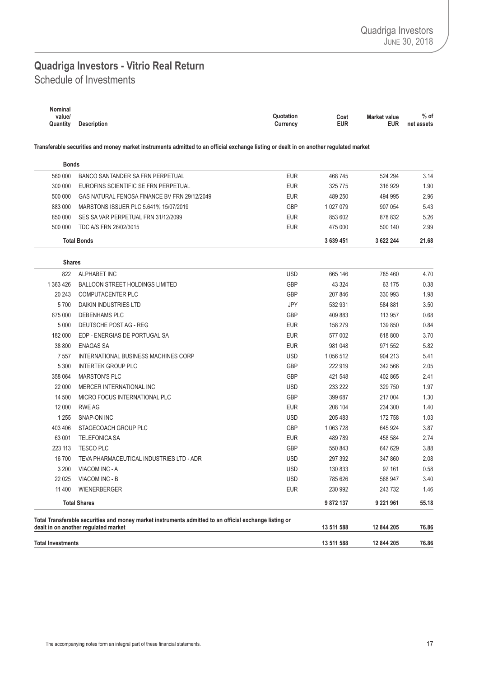### <span id="page-18-0"></span>Schedule of Investments **Quadriga Investors - Vitrio Real Return**

| Nominal<br>value/<br>Quantity | <b>Description</b>                                                                                                                             | Quotation<br>Currency | Cost<br><b>EUR</b> | <b>Market value</b><br><b>EUR</b> | % of<br>net assets |
|-------------------------------|------------------------------------------------------------------------------------------------------------------------------------------------|-----------------------|--------------------|-----------------------------------|--------------------|
|                               | Transferable securities and money market instruments admitted to an official exchange listing or dealt in on another regulated market          |                       |                    |                                   |                    |
| <b>Bonds</b>                  |                                                                                                                                                |                       |                    |                                   |                    |
| 560 000                       | BANCO SANTANDER SA FRN PERPETUAL                                                                                                               | <b>EUR</b>            | 468745             | 524 294                           | 3.14               |
| 300 000                       | EUROFINS SCIENTIFIC SE FRN PERPETUAL                                                                                                           | <b>EUR</b>            | 325 775            | 316 929                           | 1.90               |
| 500 000                       | GAS NATURAL FENOSA FINANCE BV FRN 29/12/2049                                                                                                   | <b>EUR</b>            | 489 250            | 494 995                           | 2.96               |
| 883 000                       | MARSTONS ISSUER PLC 5.641% 15/07/2019                                                                                                          | GBP                   | 1 027 079          | 907 054                           | 5.43               |
| 850 000                       | SES SA VAR PERPETUAL FRN 31/12/2099                                                                                                            | <b>EUR</b>            | 853 602            | 878 832                           | 5.26               |
| 500 000                       | TDC A/S FRN 26/02/3015                                                                                                                         | <b>EUR</b>            | 475 000            | 500 140                           | 2.99               |
|                               | <b>Total Bonds</b>                                                                                                                             |                       | 3 639 451          | 3 622 244                         | 21.68              |
| <b>Shares</b>                 |                                                                                                                                                |                       |                    |                                   |                    |
| 822                           | <b>ALPHABET INC</b>                                                                                                                            | <b>USD</b>            | 665 146            | 785 460                           | 4.70               |
| 1 363 426                     | <b>BALLOON STREET HOLDINGS LIMITED</b>                                                                                                         | GBP                   | 43 3 24            | 63 175                            | 0.38               |
| 20 24 3                       | <b>COMPUTACENTER PLC</b>                                                                                                                       | <b>GBP</b>            | 207 846            | 330 993                           | 1.98               |
| 5700                          | DAIKIN INDUSTRIES LTD                                                                                                                          | JPY                   | 532 931            | 584 881                           | 3.50               |
| 675 000                       | DEBENHAMS PLC                                                                                                                                  | GBP                   | 409 883            | 113 957                           | 0.68               |
| 5 0 0 0                       | DEUTSCHE POST AG - REG                                                                                                                         | <b>EUR</b>            | 158 279            | 139 850                           | 0.84               |
| 182 000                       | EDP - ENERGIAS DE PORTUGAL SA                                                                                                                  | <b>EUR</b>            | 577 002            | 618 800                           | 3.70               |
| 38 800                        | <b>ENAGAS SA</b>                                                                                                                               | <b>EUR</b>            | 981 048            | 971 552                           | 5.82               |
| 7 5 5 7                       | INTERNATIONAL BUSINESS MACHINES CORP                                                                                                           | <b>USD</b>            | 1 056 512          | 904 213                           | 5.41               |
| 5 3 0 0                       | <b>INTERTEK GROUP PLC</b>                                                                                                                      | GBP                   | 222 919            | 342 566                           | 2.05               |
| 358 064                       | <b>MARSTON'S PLC</b>                                                                                                                           | <b>GBP</b>            | 421 548            | 402 865                           | 2.41               |
| 22 000                        | MERCER INTERNATIONAL INC                                                                                                                       | <b>USD</b>            | 233 222            | 329 750                           | 1.97               |
| 14 500                        | MICRO FOCUS INTERNATIONAL PLC                                                                                                                  | GBP                   | 399 687            | 217 004                           | 1.30               |
| 12 000                        | <b>RWE AG</b>                                                                                                                                  | <b>EUR</b>            | 208 104            | 234 300                           | 1.40               |
| 1 2 5 5                       | SNAP-ON INC                                                                                                                                    | <b>USD</b>            | 205 483            | 172 758                           | 1.03               |
| 403 406                       | STAGECOACH GROUP PLC                                                                                                                           | GBP                   | 1 063 728          | 645 924                           | 3.87               |
| 63 001                        | <b>TELEFONICA SA</b>                                                                                                                           | <b>EUR</b>            | 489789             | 458 584                           | 2.74               |
| 223 113                       | <b>TESCO PLC</b>                                                                                                                               | GBP                   | 550 843            | 647 629                           | 3.88               |
| 16 700                        | TEVA PHARMACEUTICAL INDUSTRIES LTD - ADR                                                                                                       | <b>USD</b>            | 297 392            | 347 860                           | 2.08               |
| 3 200                         | VIACOM INC - A                                                                                                                                 | <b>USD</b>            | 130 833            | 97 161                            | 0.58               |
| 22 0 25                       | VIACOM INC - B                                                                                                                                 | <b>USD</b>            | 785 626            | 568 947                           | 3.40               |
| 11 400                        | <b>WIENERBERGER</b>                                                                                                                            | <b>EUR</b>            | 230 992            | 243 732                           | 1.46               |
|                               | <b>Total Shares</b>                                                                                                                            |                       | 9 872 137          | 9 2 2 1 9 6 1                     | 55.18              |
|                               | Total Transferable securities and money market instruments admitted to an official exchange listing or<br>dealt in on another regulated market |                       | 13 511 588         | 12 844 205                        | 76.86              |
| <b>Total Investments</b>      |                                                                                                                                                |                       | 13 511 588         | 12 844 205                        | 76.86              |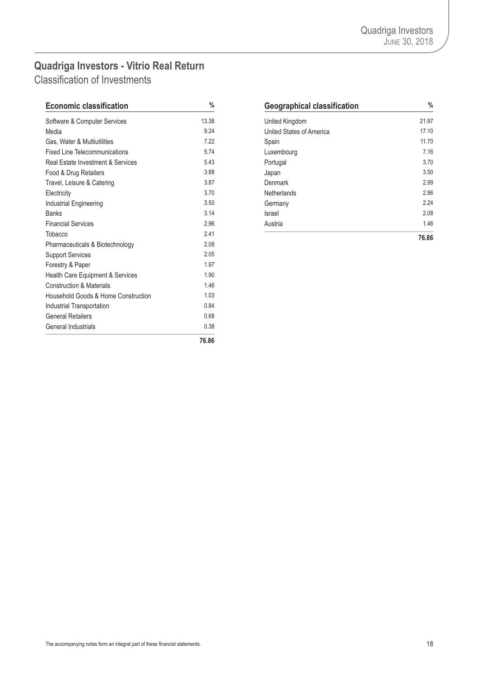# <span id="page-19-0"></span>**Quadriga Investors - Vitrio Real Return**

Classification of Investments

| <b>Economic classification</b>               | %     | <b>Geographical classification</b> | ℀     |
|----------------------------------------------|-------|------------------------------------|-------|
| Software & Computer Services                 | 13.38 | United Kingdom                     | 21.97 |
| Media                                        | 9.24  | United States of America           | 17.10 |
| Gas, Water & Multiutilities                  | 7.22  | Spain                              | 11.70 |
| <b>Fixed Line Telecommunications</b>         | 5.74  | Luxembourg                         | 7.16  |
| <b>Real Estate Investment &amp; Services</b> | 5.43  | Portugal                           | 3.70  |
| Food & Drug Retailers                        | 3.88  | Japan                              | 3.50  |
| Travel, Leisure & Catering                   | 3.87  | Denmark                            | 2.99  |
| Electricity                                  | 3.70  | <b>Netherlands</b>                 | 2.96  |
| Industrial Engineering                       | 3.50  | Germany                            | 2.24  |
| <b>Banks</b>                                 | 3.14  | Israel                             | 2.08  |
| <b>Financial Services</b>                    | 2.96  | Austria                            | 1.46  |
| Tobacco                                      | 2.41  |                                    | 76.86 |
| Pharmaceuticals & Biotechnology              | 2.08  |                                    |       |
| <b>Support Services</b>                      | 2.05  |                                    |       |
| Forestry & Paper                             | 1.97  |                                    |       |
| Health Care Equipment & Services             | 1.90  |                                    |       |
| <b>Construction &amp; Materials</b>          | 1.46  |                                    |       |
| Household Goods & Home Construction          | 1.03  |                                    |       |
| Industrial Transportation                    | 0.84  |                                    |       |
| <b>General Retailers</b>                     | 0.68  |                                    |       |
| <b>General Industrials</b>                   | 0.38  |                                    |       |
|                                              | 76.86 |                                    |       |

| <b>Geographical classification</b> | %     |
|------------------------------------|-------|
| United Kingdom                     | 21.97 |
| United States of America           | 17.10 |
| Spain                              | 11.70 |
| Luxembourg                         | 7.16  |
| Portugal                           | 3.70  |
| Japan                              | 3.50  |
| Denmark                            | 2.99  |
| Netherlands                        | 2.96  |
| Germany                            | 2.24  |
| Israel                             | 2.08  |
| Austria                            | 1.46  |
|                                    | 76.86 |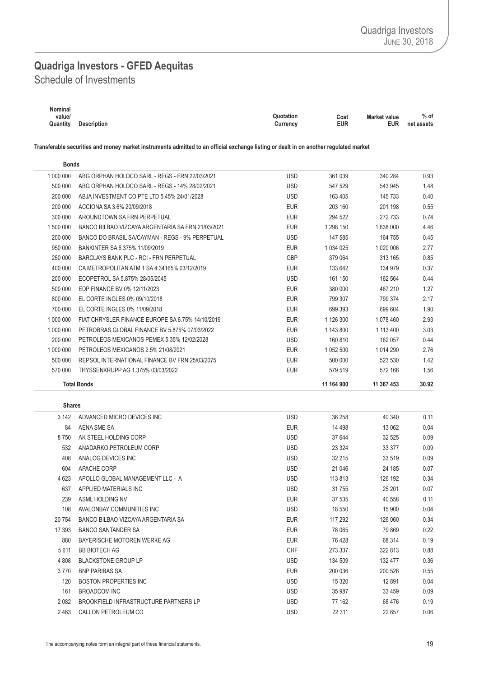### <span id="page-20-0"></span>Schedule of Investments **Quadriga Investors - GFED Aequitas**

| Nominal  |                    |                                          |            |
|----------|--------------------|------------------------------------------|------------|
| value/   |                    | Quotation<br><b>Market value</b><br>Cost | $%$ of     |
| Quantity | <b>Description</b> | <b>EUR</b><br>EUR<br>Currency            | net assets |

Transferable securities and money market instruments admitted to an official exchange listing or dealt in on another regulated market

| <b>Bonds</b>  |                                                   |            |             |               |       |
|---------------|---------------------------------------------------|------------|-------------|---------------|-------|
| 1 000 000     | ABG ORPHAN HOLDCO SARL - REGS - FRN 22/03/2021    | <b>USD</b> | 361 039     | 340 284       | 0.93  |
| 500 000       | ABG ORPHAN HOLDCO SARL - REGS - 14% 28/02/2021    | <b>USD</b> | 547 529     | 543 945       | 1.48  |
| 200 000       | ABJA INVESTMENT CO PTE LTD 5.45% 24/01/2028       | <b>USD</b> | 163 405     | 145 733       | 0.40  |
| 200 000       | ACCIONA SA 3.6% 20/09/2018                        | <b>EUR</b> | 203 160     | 201 198       | 0.55  |
| 300 000       | AROUNDTOWN SA FRN PERPETUAL                       | <b>EUR</b> | 294 522     | 272 733       | 0.74  |
| 1 500 000     | BANCO BILBAO VIZCAYA ARGENTARIA SA FRN 21/03/2021 | <b>EUR</b> | 1 298 150   | 1638000       | 4.46  |
| 200 000       | BANCO DO BRASIL SA/CAYMAN - REGS - 9% PERPETUAL   | <b>USD</b> | 147 585     | 164 755       | 0.45  |
| 950 000       | BANKINTER SA 6.375% 11/09/2019                    | <b>EUR</b> | 1 0 34 0 25 | 1 0 2 0 0 0 6 | 2.77  |
| 250 000       | BARCLAYS BANK PLC - RCI - FRN PERPETUAL           | <b>GBP</b> | 379 064     | 313 165       | 0.85  |
| 400 000       | CA METROPOLITAN ATM 1 SA 4.34165% 03/12/2019      | <b>EUR</b> | 133 642     | 134 979       | 0.37  |
| 200 000       | ECOPETROL SA 5.875% 28/05/2045                    | <b>USD</b> | 161 150     | 162 564       | 0.44  |
| 500 000       | EDP FINANCE BV 0% 12/11/2023                      | <b>EUR</b> | 380 000     | 467 210       | 1.27  |
| 800 000       | EL CORTE INGLES 0% 09/10/2018                     | <b>EUR</b> | 799 307     | 799 374       | 2.17  |
| 700 000       | EL CORTE INGLES 0% 11/09/2018                     | <b>EUR</b> | 699 393     | 699 604       | 1.90  |
| 1 000 000     | FIAT CHRYSLER FINANCE EUROPE SA 6.75% 14/10/2019  | <b>EUR</b> | 1 126 300   | 1078460       | 2.93  |
| 1 000 000     | PETROBRAS GLOBAL FINANCE BV 5.875% 07/03/2022     | <b>EUR</b> | 1 143 800   | 1 113 400     | 3.03  |
| 200 000       | PETROLEOS MEXICANOS PEMEX 5.35% 12/02/2028        | <b>USD</b> | 160 810     | 162 057       | 0.44  |
| 1 000 000     | PETROLEOS MEXICANOS 2.5% 21/08/2021               | <b>EUR</b> | 1 052 500   | 1 0 14 2 90   | 2.76  |
| 500 000       | REPSOL INTERNATIONAL FINANCE BV FRN 25/03/2075    | <b>EUR</b> | 500 000     | 523 530       | 1.42  |
| 570 000       | THYSSENKRUPP AG 1.375% 03/03/2022                 | <b>EUR</b> | 579 519     | 572 166       | 1.56  |
|               | <b>Total Bonds</b>                                |            | 11 164 900  | 11 367 453    | 30.92 |
|               |                                                   |            |             |               |       |
| <b>Shares</b> |                                                   |            |             |               |       |
| 3 1 4 2       | ADVANCED MICRO DEVICES INC                        | <b>USD</b> | 36 258      | 40 340        | 0.11  |
| 84            | AENA SME SA                                       | <b>EUR</b> | 14 4 98     | 13 062        | 0.04  |
| 8750          | AK STEEL HOLDING CORP                             | <b>USD</b> | 37 644      | 32 525        | 0.09  |
| 532           | ANADARKO PETROLEUM CORP                           | <b>USD</b> | 23 3 24     | 33 377        | 0.09  |
| 408           | ANALOG DEVICES INC                                | <b>USD</b> | 32 215      | 33 519        | 0.09  |
| 604           | APACHE CORP                                       | <b>USD</b> | 21 046      | 24 185        | 0.07  |
| 4 6 23        | APOLLO GLOBAL MANAGEMENT LLC - A                  | <b>USD</b> | 113813      | 126 192       | 0.34  |
| 637           | APPLIED MATERIALS INC                             | <b>USD</b> | 31755       | 25 201        | 0.07  |
| 239           | ASML HOLDING NV                                   | <b>EUR</b> | 37 535      | 40 558        | 0.11  |
| 108           | AVALONBAY COMMUNITIES INC                         | <b>USD</b> | 18 550      | 15 900        | 0.04  |
| 20 754        | BANCO BILBAO VIZCAYA ARGENTARIA SA                | <b>EUR</b> | 117 292     | 126 060       | 0.34  |
| 17 393        | <b>BANCO SANTANDER SA</b>                         | EUR        | 78 065      | 79 869        | 0.22  |
| 880           | BAYERISCHE MOTOREN WERKE AG                       | <b>EUR</b> | 76428       | 68 314        | 0.19  |
| 5611          | <b>BB BIOTECH AG</b>                              | CHF        | 273 337     | 322 813       | 0.88  |
| 4 8 0 8       | <b>BLACKSTONE GROUP LP</b>                        | <b>USD</b> | 134 509     | 132 477       | 0.36  |
| 3770          | <b>BNP PARIBAS SA</b>                             | <b>EUR</b> | 200 036     | 200 526       | 0.55  |
| 120           | <b>BOSTON PROPERTIES INC</b>                      | <b>USD</b> | 15 3 20     | 12 891        | 0.04  |
| 161           | <b>BROADCOM INC</b>                               | <b>USD</b> | 35 987      | 33 459        | 0.09  |
| 2 0 8 2       | BROOKFIELD INFRASTRUCTURE PARTNERS LP             | <b>USD</b> | 77 162      | 68476         | 0.19  |
| 2463          | CALLON PETROLEUM CO                               | <b>USD</b> | 22 311      | 22 657        | 0.06  |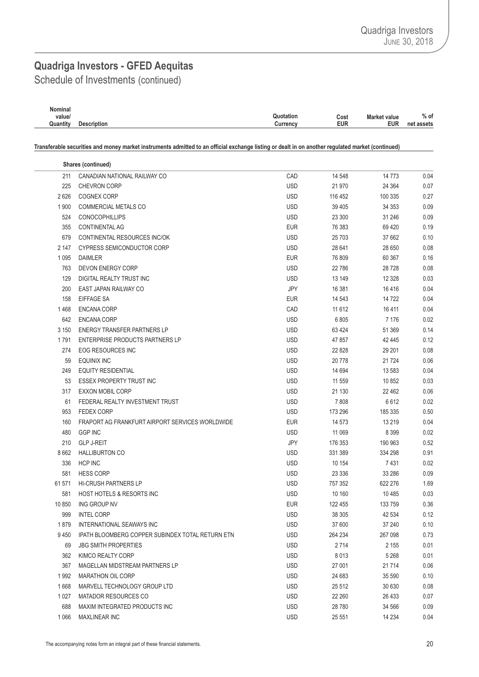Schedule of Investments (continued)

 $\overline{\phantom{a}}$ 

| Nominal  |                    |           |      |                     |            |
|----------|--------------------|-----------|------|---------------------|------------|
| value/   |                    | Quotation | Cost | <b>Market value</b> | $%$ of     |
| Quantity | <b>Description</b> | Currencv  | EUR  | <b>EUR</b>          | net assets |
|          |                    |           |      |                     |            |

Transferable securities and money market instruments admitted to an official exchange listing or dealt in on another regulated market (continued)

|         | Shares (continued)                               |            |          |         |      |
|---------|--------------------------------------------------|------------|----------|---------|------|
| 211     | CANADIAN NATIONAL RAILWAY CO                     | CAD        | 14 548   | 14 7 73 | 0.04 |
| 225     | <b>CHEVRON CORP</b>                              | <b>USD</b> | 21 970   | 24 3 64 | 0.07 |
| 2626    | <b>COGNEX CORP</b>                               | <b>USD</b> | 116 452  | 100 335 | 0.27 |
| 1 900   | <b>COMMERCIAL METALS CO</b>                      | <b>USD</b> | 39 4 05  | 34 353  | 0.09 |
| 524     | <b>CONOCOPHILLIPS</b>                            | <b>USD</b> | 23 300   | 31 246  | 0.09 |
| 355     | <b>CONTINENTAL AG</b>                            | <b>EUR</b> | 76 383   | 69 4 20 | 0.19 |
| 679     | CONTINENTAL RESOURCES INC/OK                     | <b>USD</b> | 25703    | 37 662  | 0.10 |
| 2 147   | <b>CYPRESS SEMICONDUCTOR CORP</b>                | <b>USD</b> | 28 641   | 28 650  | 0.08 |
| 1 0 9 5 | <b>DAIMLER</b>                                   | <b>EUR</b> | 76 809   | 60 367  | 0.16 |
| 763     | <b>DEVON ENERGY CORP</b>                         | <b>USD</b> | 22786    | 28728   | 0.08 |
| 129     | DIGITAL REALTY TRUST INC                         | <b>USD</b> | 13 149   | 12 3 28 | 0.03 |
| 200     | EAST JAPAN RAILWAY CO                            | JPY        | 16 381   | 16416   | 0.04 |
| 158     | EIFFAGE SA                                       | <b>EUR</b> | 14 543   | 14 722  | 0.04 |
| 1468    | <b>ENCANA CORP</b>                               | CAD        | 11 6 12  | 16411   | 0.04 |
| 642     | <b>ENCANA CORP</b>                               | <b>USD</b> | 6805     | 7 1 7 6 | 0.02 |
| 3 1 5 0 | <b>ENERGY TRANSFER PARTNERS LP</b>               | <b>USD</b> | 63 4 24  | 51 369  | 0.14 |
| 1791    | ENTERPRISE PRODUCTS PARTNERS LP                  | <b>USD</b> | 47 857   | 42 445  | 0.12 |
| 274     | <b>EOG RESOURCES INC</b>                         | <b>USD</b> | 22 8 28  | 29 201  | 0.08 |
| 59      | <b>EQUINIX INC</b>                               | <b>USD</b> | 20778    | 21 7 24 | 0.06 |
| 249     | <b>EQUITY RESIDENTIAL</b>                        | <b>USD</b> | 14 694   | 13 583  | 0.04 |
| 53      | <b>ESSEX PROPERTY TRUST INC</b>                  | <b>USD</b> | 11 559   | 10 852  | 0.03 |
| 317     | <b>EXXON MOBIL CORP</b>                          | <b>USD</b> | 21 130   | 22 4 62 | 0.06 |
| 61      | FEDERAL REALTY INVESTMENT TRUST                  | <b>USD</b> | 7808     | 6612    | 0.02 |
| 953     | <b>FEDEX CORP</b>                                | <b>USD</b> | 173 296  | 185 335 | 0.50 |
| 160     | FRAPORT AG FRANKFURT AIRPORT SERVICES WORLDWIDE  | <b>EUR</b> | 14 573   | 13 219  | 0.04 |
| 480     | <b>GGP INC</b>                                   | <b>USD</b> | 11 069   | 8 3 9 9 | 0.02 |
| 210     | <b>GLP J-REIT</b>                                | JPY        | 176 353  | 190 963 | 0.52 |
| 8 6 6 2 | <b>HALLIBURTON CO</b>                            | <b>USD</b> | 331 389  | 334 298 | 0.91 |
| 336     | <b>HCP INC</b>                                   | <b>USD</b> | 10 154   | 7431    | 0.02 |
| 581     | <b>HESS CORP</b>                                 | <b>USD</b> | 23 3 3 6 | 33 286  | 0.09 |
| 61 571  | <b>HI-CRUSH PARTNERS LP</b>                      | <b>USD</b> | 757 352  | 622 276 | 1.69 |
| 581     | <b>HOST HOTELS &amp; RESORTS INC</b>             | <b>USD</b> | 10 160   | 10 4 85 | 0.03 |
| 10 850  | ING GROUP NV                                     | <b>EUR</b> | 122 455  | 133 759 | 0.36 |
| 999     | <b>INTEL CORP</b>                                | <b>USD</b> | 38 305   | 42 534  | 0.12 |
| 1879    | INTERNATIONAL SEAWAYS INC                        | <b>USD</b> | 37 600   | 37 240  | 0.10 |
| 9450    | IPATH BLOOMBERG COPPER SUBINDEX TOTAL RETURN ETN | <b>USD</b> | 264 234  | 267 098 | 0.73 |
| 69      | <b>JBG SMITH PROPERTIES</b>                      | <b>USD</b> | 2714     | 2 155   | 0.01 |
| 362     | KIMCO REALTY CORP                                | <b>USD</b> | 8013     | 5 2 6 8 | 0.01 |
| 367     | MAGELLAN MIDSTREAM PARTNERS LP                   | <b>USD</b> | 27 001   | 21 7 14 | 0.06 |
| 1992    | <b>MARATHON OIL CORP</b>                         | <b>USD</b> | 24 683   | 35 590  | 0.10 |
| 1668    | MARVELL TECHNOLOGY GROUP LTD                     | <b>USD</b> | 25 5 12  | 30 630  | 0.08 |
| 1 0 2 7 | <b>MATADOR RESOURCES CO</b>                      | <b>USD</b> | 22 260   | 26 433  | 0.07 |
| 688     | MAXIM INTEGRATED PRODUCTS INC                    | <b>USD</b> | 28780    | 34 566  | 0.09 |
| 1 0 6 6 | MAXLINEAR INC                                    | <b>USD</b> | 25 551   | 14 2 34 | 0.04 |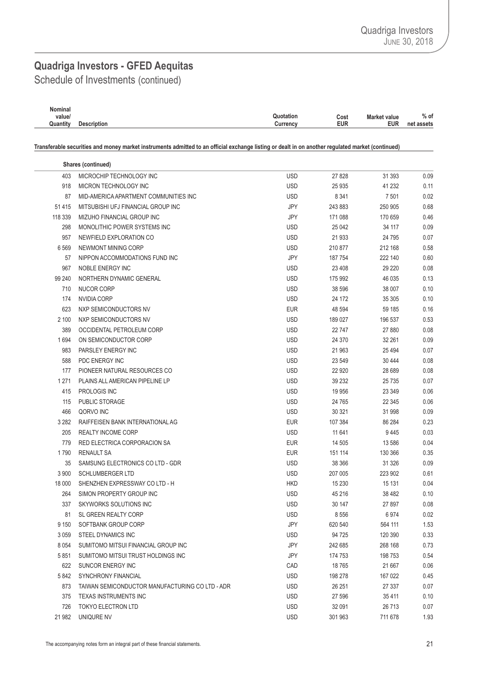Schedule of Investments (continued)

 $\overline{\phantom{a}}$ 

| Nominal  |                    |                                             |            |
|----------|--------------------|---------------------------------------------|------------|
| value/   |                    | Quotation<br><b>Market value</b><br>Cost    | $%$ of     |
| Quantity | <b>Description</b> | <b>EUR</b><br><b>EUR</b><br><b>Currency</b> | net assets |

Transferable securities and money market instruments admitted to an official exchange listing or dealt in on another regulated market (continued)

|         | Shares (continued)                              |            |         |         |      |
|---------|-------------------------------------------------|------------|---------|---------|------|
| 403     | MICROCHIP TECHNOLOGY INC                        | <b>USD</b> | 27 8 28 | 31 393  | 0.09 |
| 918     | MICRON TECHNOLOGY INC                           | <b>USD</b> | 25 9 35 | 41 232  | 0.11 |
| 87      | MID-AMERICA APARTMENT COMMUNITIES INC           | <b>USD</b> | 8 3 4 1 | 7 501   | 0.02 |
| 51 4 15 | MITSUBISHI UFJ FINANCIAL GROUP INC              | JPY        | 243 883 | 250 905 | 0.68 |
| 118 339 | MIZUHO FINANCIAL GROUP INC                      | JPY        | 171 088 | 170 659 | 0.46 |
| 298     | MONOLITHIC POWER SYSTEMS INC                    | <b>USD</b> | 25 042  | 34 117  | 0.09 |
| 957     | NEWFIELD EXPLORATION CO                         | <b>USD</b> | 21933   | 24 795  | 0.07 |
| 6569    | NEWMONT MINING CORP                             | <b>USD</b> | 210 877 | 212 168 | 0.58 |
| 57      | NIPPON ACCOMMODATIONS FUND INC                  | JPY        | 187754  | 222 140 | 0.60 |
| 967     | <b>NOBLE ENERGY INC</b>                         | <b>USD</b> | 23 4 08 | 29 220  | 0.08 |
| 99 240  | NORTHERN DYNAMIC GENERAL                        | <b>USD</b> | 175 992 | 46 035  | 0.13 |
| 710     | NUCOR CORP                                      | <b>USD</b> | 38 596  | 38 007  | 0.10 |
| 174     | NVIDIA CORP                                     | <b>USD</b> | 24 172  | 35 305  | 0.10 |
| 623     | NXP SEMICONDUCTORS NV                           | <b>EUR</b> | 48 594  | 59 185  | 0.16 |
| 2 100   | NXP SEMICONDUCTORS NV                           | <b>USD</b> | 189 027 | 196 537 | 0.53 |
| 389     | OCCIDENTAL PETROLEUM CORP                       | <b>USD</b> | 22747   | 27 880  | 0.08 |
| 1694    | ON SEMICONDUCTOR CORP                           | <b>USD</b> | 24 370  | 32 261  | 0.09 |
| 983     | PARSLEY ENERGY INC                              | <b>USD</b> | 21 963  | 25 4 94 | 0.07 |
| 588     | PDC ENERGY INC                                  | <b>USD</b> | 23 549  | 30 444  | 0.08 |
| 177     | PIONEER NATURAL RESOURCES CO                    | <b>USD</b> | 22 9 20 | 28 689  | 0.08 |
| 1 2 7 1 | PLAINS ALL AMERICAN PIPELINE LP                 | <b>USD</b> | 39 232  | 25 735  | 0.07 |
| 415     | PROLOGIS INC                                    | <b>USD</b> | 19 956  | 23 349  | 0.06 |
| 115     | PUBLIC STORAGE                                  | <b>USD</b> | 24 7 65 | 22 345  | 0.06 |
| 466     | QORVO INC                                       | <b>USD</b> | 30 321  | 31 998  | 0.09 |
| 3 2 8 2 | RAIFFEISEN BANK INTERNATIONAL AG                | <b>EUR</b> | 107 384 | 86 284  | 0.23 |
| 205     | <b>REALTY INCOME CORP</b>                       | <b>USD</b> | 11 641  | 9445    | 0.03 |
| 779     | RED ELECTRICA CORPORACION SA                    | <b>EUR</b> | 14 505  | 13 586  | 0.04 |
| 1790    | <b>RENAULT SA</b>                               | <b>EUR</b> | 151 114 | 130 366 | 0.35 |
| 35      | SAMSUNG ELECTRONICS CO LTD - GDR                | <b>USD</b> | 38 366  | 31 326  | 0.09 |
| 3 900   | <b>SCHLUMBERGER LTD</b>                         | <b>USD</b> | 207 005 | 223 902 | 0.61 |
| 18 000  | SHENZHEN EXPRESSWAY CO LTD - H                  | <b>HKD</b> | 15 2 30 | 15 131  | 0.04 |
| 264     | SIMON PROPERTY GROUP INC                        | <b>USD</b> | 45 216  | 38 482  | 0.10 |
| 337     | <b>SKYWORKS SOLUTIONS INC</b>                   | <b>USD</b> | 30 147  | 27 897  | 0.08 |
| 81      | SL GREEN REALTY CORP                            | <b>USD</b> | 8556    | 6974    | 0.02 |
| 9 1 5 0 | SOFTBANK GROUP CORP                             | JPY        | 620 540 | 564 111 | 1.53 |
| 3 0 5 9 | STEEL DYNAMICS INC                              | <b>USD</b> | 94 7 25 | 120 390 | 0.33 |
| 8 0 5 4 | SUMITOMO MITSUI FINANCIAL GROUP INC             | JPY        | 242 685 | 268 168 | 0.73 |
| 5851    | SUMITOMO MITSUI TRUST HOLDINGS INC              | JPY        | 174 753 | 198 753 | 0.54 |
| 622     | SUNCOR ENERGY INC                               | CAD        | 18765   | 21 667  | 0.06 |
| 5842    | <b>SYNCHRONY FINANCIAL</b>                      | <b>USD</b> | 198 278 | 167 022 | 0.45 |
| 873     | TAIWAN SEMICONDUCTOR MANUFACTURING CO LTD - ADR | <b>USD</b> | 26 251  | 27 337  | 0.07 |
| 375     | <b>TEXAS INSTRUMENTS INC</b>                    | <b>USD</b> | 27 596  | 35411   | 0.10 |
| 726     | <b>TOKYO ELECTRON LTD</b>                       | <b>USD</b> | 32 091  | 26 713  | 0.07 |
| 21 982  | UNIQURE NV                                      | <b>USD</b> | 301 963 | 711 678 | 1.93 |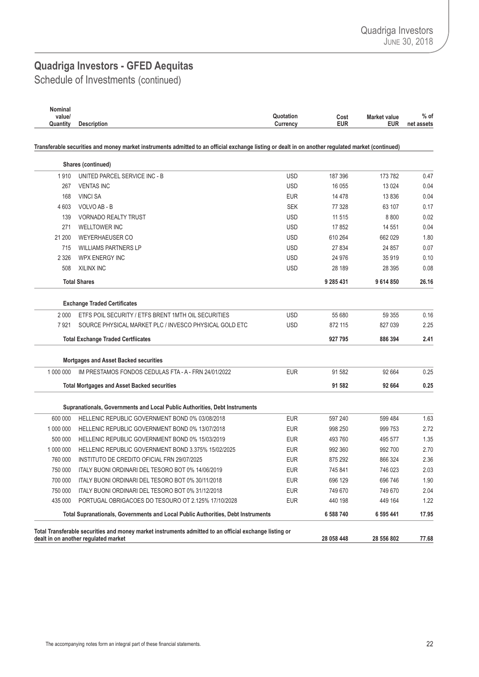Schedule of Investments (continued)

| Nominal<br>value/<br>Quantity | <b>Description</b>                                                                                                                                | Quotation<br>Currency    | Cost<br><b>EUR</b> | Market value<br><b>EUR</b> | $%$ of<br>net assets |
|-------------------------------|---------------------------------------------------------------------------------------------------------------------------------------------------|--------------------------|--------------------|----------------------------|----------------------|
|                               | Transferable securities and money market instruments admitted to an official exchange listing or dealt in on another regulated market (continued) |                          |                    |                            |                      |
|                               | Shares (continued)                                                                                                                                |                          |                    |                            |                      |
| 1910                          | UNITED PARCEL SERVICE INC - B                                                                                                                     | <b>USD</b>               | 187 396            | 173 782                    | 0.47                 |
| 267                           | <b>VENTAS INC</b>                                                                                                                                 | <b>USD</b>               | 16 0 55            | 13 0 24                    | 0.04                 |
| 168                           | <b>VINCI SA</b>                                                                                                                                   | <b>EUR</b>               | 14 4 78            | 13836                      | 0.04                 |
| 4 603                         | VOLVO AB - B                                                                                                                                      | <b>SEK</b>               | 77 328             | 63 107                     | 0.17                 |
| 139                           | <b>VORNADO REALTY TRUST</b>                                                                                                                       | <b>USD</b>               | 11 5 15            | 8800                       | 0.02                 |
| 271                           | <b>WELLTOWER INC</b>                                                                                                                              | <b>USD</b>               | 17852              | 14 551                     | 0.04                 |
| 21 200                        | <b>WEYERHAEUSER CO</b>                                                                                                                            | <b>USD</b>               | 610 264            | 662 029                    | 1.80                 |
| 715                           | <b>WILLIAMS PARTNERS LP</b>                                                                                                                       | <b>USD</b>               | 27834              | 24 857                     | 0.07                 |
| 2 3 2 6                       | <b>WPX ENERGY INC</b>                                                                                                                             | <b>USD</b>               | 24 976             | 35 919                     | 0.10                 |
| 508                           | XILINX INC                                                                                                                                        | <b>USD</b>               | 28 189             | 28 395                     | 0.08                 |
|                               | <b>Total Shares</b>                                                                                                                               |                          | 9 285 431          | 9614850                    | 26.16                |
|                               | <b>Exchange Traded Certificates</b>                                                                                                               |                          |                    |                            |                      |
| 2 0 0 0                       | ETFS POIL SECURITY / ETFS BRENT 1MTH OIL SECURITIES                                                                                               | <b>USD</b>               | 55 680             | 59 355                     | 0.16                 |
| 7921                          | SOURCE PHYSICAL MARKET PLC / INVESCO PHYSICAL GOLD ETC                                                                                            | <b>USD</b>               | 872 115            | 827 039                    | 2.25                 |
|                               | <b>Total Exchange Traded Certfiicates</b>                                                                                                         |                          | 927 795            | 886 394                    | 2.41                 |
|                               | <b>Mortgages and Asset Backed securities</b>                                                                                                      |                          |                    |                            |                      |
| 1 000 000                     | IM PRESTAMOS FONDOS CEDULAS FTA - A - FRN 24/01/2022                                                                                              | <b>EUR</b>               | 91 582             | 92 664                     | 0.25                 |
|                               | <b>Total Mortgages and Asset Backed securities</b>                                                                                                |                          | 91 582             | 92 664                     | 0.25                 |
|                               |                                                                                                                                                   |                          |                    |                            |                      |
|                               | Supranationals, Governments and Local Public Authorities, Debt Instruments                                                                        |                          |                    |                            |                      |
| 600 000                       | HELLENIC REPUBLIC GOVERNMENT BOND 0% 03/08/2018                                                                                                   | <b>EUR</b>               | 597 240            | 599 484                    | 1.63                 |
| 1 000 000<br>500 000          | HELLENIC REPUBLIC GOVERNMENT BOND 0% 13/07/2018                                                                                                   | <b>EUR</b>               | 998 250            | 999 753<br>495 577         | 2.72                 |
| 1 000 000                     | HELLENIC REPUBLIC GOVERNMENT BOND 0% 15/03/2019<br>HELLENIC REPUBLIC GOVERNMENT BOND 3.375% 15/02/2025                                            | <b>EUR</b><br><b>EUR</b> | 493 760<br>992 360 | 992 700                    | 1.35<br>2.70         |
| 760 000                       | INSTITUTO DE CREDITO OFICIAL FRN 29/07/2025                                                                                                       | <b>EUR</b>               | 875 292            | 866 324                    | 2.36                 |
| 750 000                       | ITALY BUONI ORDINARI DEL TESORO BOT 0% 14/06/2019                                                                                                 | <b>EUR</b>               | 745 841            | 746 023                    | 2.03                 |
| 700 000                       |                                                                                                                                                   | <b>EUR</b>               |                    | 696 746                    |                      |
| 750 000                       | ITALY BUONI ORDINARI DEL TESORO BOT 0% 30/11/2018<br>ITALY BUONI ORDINARI DEL TESORO BOT 0% 31/12/2018                                            | <b>EUR</b>               | 696 129<br>749 670 | 749 670                    | 1.90                 |
| 435 000                       | PORTUGAL OBRIGACOES DO TESOURO OT 2.125% 17/10/2028                                                                                               | <b>EUR</b>               | 440 198            | 449 164                    | 2.04<br>1.22         |
|                               | Total Supranationals, Governments and Local Public Authorities, Debt Instruments                                                                  |                          |                    |                            |                      |
|                               |                                                                                                                                                   |                          | 6 588 740          | 6 595 441                  | 17.95                |
|                               | Total Transferable securities and money market instruments admitted to an official exchange listing or<br>dealt in on another regulated market    |                          | 28 058 448         | 28 556 802                 | 77.68                |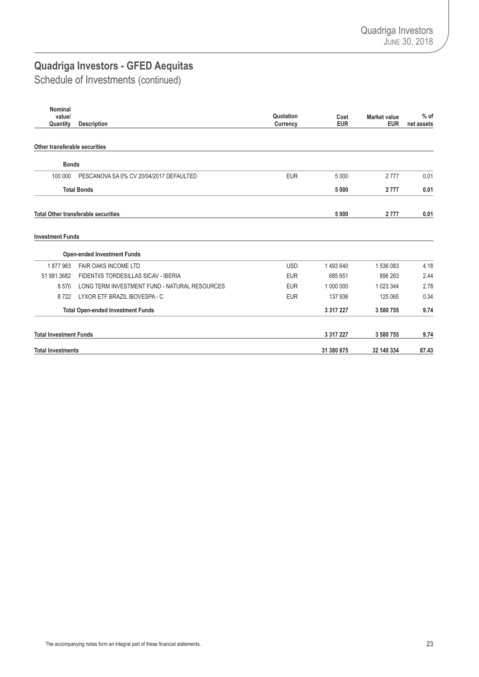Schedule of Investments (continued)

| <b>Nominal</b><br>value/      |                                               | Quotation  | Cost          | <b>Market value</b> | $%$ of     |
|-------------------------------|-----------------------------------------------|------------|---------------|---------------------|------------|
| Quantity                      | <b>Description</b>                            | Currency   | <b>EUR</b>    | <b>EUR</b>          | net assets |
|                               |                                               |            |               |                     |            |
| Other transferable securities |                                               |            |               |                     |            |
| <b>Bonds</b>                  |                                               |            |               |                     |            |
| 100 000                       | PESCANOVA SA 0% CV 20/04/2017 DEFAULTED       | <b>EUR</b> | 5 0 0 0       | 2777                | 0.01       |
|                               | <b>Total Bonds</b>                            |            | 5 0 0 0       | 2 7 7 7             | 0.01       |
|                               | <b>Total Other transferable securities</b>    |            | 5 0 0 0       | 2777                | 0.01       |
| <b>Investment Funds</b>       |                                               |            |               |                     |            |
|                               | <b>Open-ended Investment Funds</b>            |            |               |                     |            |
| 1877963                       | <b>FAIR OAKS INCOME LTD</b>                   | <b>USD</b> | 1493640       | 1536083             | 4.18       |
| 51 981 3682                   | FIDENTIIS TORDESILLAS SICAV - IBERIA          | <b>EUR</b> | 685 651       | 896 263             | 2.44       |
| 8570                          | LONG TERM INVESTMENT FUND - NATURAL RESOURCES | <b>EUR</b> | 1 000 000     | 1 023 344           | 2.78       |
| 8722                          | LYXOR ETF BRAZIL IBOVESPA - C                 | <b>EUR</b> | 137 936       | 125 065             | 0.34       |
|                               | <b>Total Open-ended Investment Funds</b>      |            | 3 3 1 7 2 2 7 | 3 580 755           | 9.74       |
| <b>Total Investment Funds</b> |                                               |            | 3 3 1 7 2 2 7 | 3 580 755           | 9.74       |
| <b>Total Investments</b>      |                                               |            | 31 380 675    | 32 140 334          | 87.43      |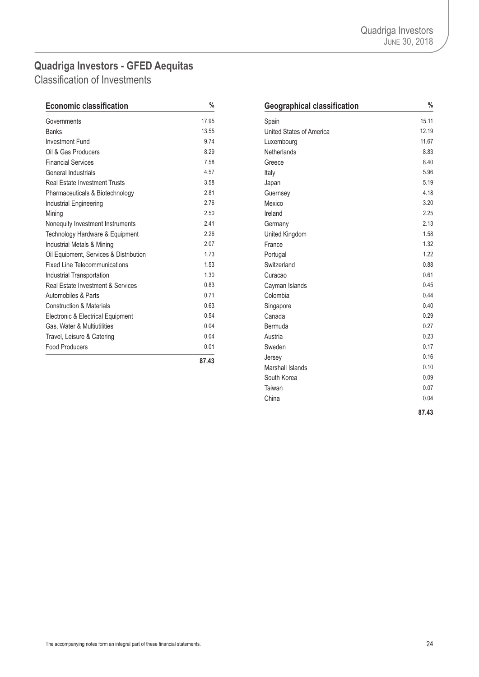<span id="page-25-0"></span>Classification of Investments

| <b>Economic classification</b>         | %     | <b>Geographical classification</b> | $\frac{0}{6}$ |
|----------------------------------------|-------|------------------------------------|---------------|
| Governments                            | 17.95 | Spain                              | 15.11         |
| <b>Banks</b>                           | 13.55 | United States of America           | 12.19         |
| <b>Investment Fund</b>                 | 9.74  | Luxembourg                         | 11.67         |
| Oil & Gas Producers                    | 8.29  | Netherlands                        | 8.83          |
| <b>Financial Services</b>              | 7.58  | Greece                             | 8.40          |
| General Industrials                    | 4.57  | Italy                              | 5.96          |
| <b>Real Estate Investment Trusts</b>   | 3.58  | Japan                              | 5.19          |
| Pharmaceuticals & Biotechnology        | 2.81  | Guernsey                           | 4.18          |
| Industrial Engineering                 | 2.76  | Mexico                             | 3.20          |
| Mining                                 | 2.50  | Ireland                            | 2.25          |
| Nonequity Investment Instruments       | 2.41  | Germany                            | 2.13          |
| Technology Hardware & Equipment        | 2.26  | United Kingdom                     | 1.58          |
| Industrial Metals & Mining             | 2.07  | France                             | 1.32          |
| Oil Equipment, Services & Distribution | 1.73  | Portugal                           | 1.22          |
| <b>Fixed Line Telecommunications</b>   | 1.53  | Switzerland                        | 0.88          |
| Industrial Transportation              | 1.30  | Curacao                            | 0.61          |
| Real Estate Investment & Services      | 0.83  | Cayman Islands                     | 0.45          |
| Automobiles & Parts                    | 0.71  | Colombia                           | 0.44          |
| <b>Construction &amp; Materials</b>    | 0.63  | Singapore                          | 0.40          |
| Electronic & Electrical Equipment      | 0.54  | Canada                             | 0.29          |
| Gas, Water & Multiutilities            | 0.04  | Bermuda                            | 0.27          |
| Travel, Leisure & Catering             | 0.04  | Austria                            | 0.23          |
| <b>Food Producers</b>                  | 0.01  | Sweden                             | 0.17          |
|                                        | 87A3  | Jersey                             | 0.16          |

| $\%$  | <b>Geographical classification</b> | %     |
|-------|------------------------------------|-------|
| 17.95 | Spain                              | 15.11 |
| 13.55 | United States of America           | 12.19 |
| 9.74  | Luxembourg                         | 11.67 |
| 8.29  | <b>Netherlands</b>                 | 8.83  |
| 7.58  | Greece                             | 8.40  |
| 4.57  | Italy                              | 5.96  |
| 3.58  | Japan                              | 5.19  |
| 2.81  | Guernsey                           | 4.18  |
| 2.76  | Mexico                             | 3.20  |
| 2.50  | Ireland                            | 2.25  |
| 2.41  | Germany                            | 2.13  |
| 2.26  | United Kingdom                     | 1.58  |
| 2.07  | France                             | 1.32  |
| 1.73  | Portugal                           | 1.22  |
| 1.53  | Switzerland                        | 0.88  |
| 1.30  | Curacao                            | 0.61  |
| 0.83  | Cayman Islands                     | 0.45  |
| 0.71  | Colombia                           | 0.44  |
| 0.63  | Singapore                          | 0.40  |
| 0.54  | Canada                             | 0.29  |
| 0.04  | Bermuda                            | 0.27  |
| 0.04  | Austria                            | 0.23  |
| 0.01  | Sweden                             | 0.17  |
| 87.43 | Jersey                             | 0.16  |
|       | Marshall Islands                   | 0.10  |
|       | South Korea                        | 0.09  |
|       | Taiwan                             | 0.07  |
|       | China                              | 0.04  |
|       |                                    | 87.43 |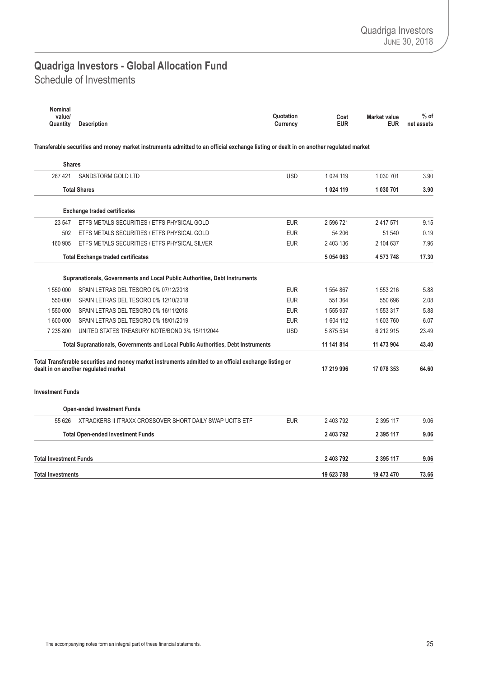### <span id="page-26-0"></span>Schedule of Investments **Quadriga Investors - Global Allocation Fund**

| Nominal<br>value/             |                                                                                                                                                | Quotation  | Cost<br><b>EUR</b> | <b>Market value</b> | $%$ of     |
|-------------------------------|------------------------------------------------------------------------------------------------------------------------------------------------|------------|--------------------|---------------------|------------|
| Quantity                      | <b>Description</b>                                                                                                                             | Currency   |                    | <b>EUR</b>          | net assets |
|                               | Transferable securities and money market instruments admitted to an official exchange listing or dealt in on another regulated market          |            |                    |                     |            |
| <b>Shares</b>                 |                                                                                                                                                |            |                    |                     |            |
| 267 421                       | SANDSTORM GOLD LTD                                                                                                                             | <b>USD</b> | 1 0 24 119         | 1 030 701           | 3.90       |
|                               | <b>Total Shares</b>                                                                                                                            |            | 1 0 24 1 19        | 1030701             | 3.90       |
|                               | <b>Exchange traded certificates</b>                                                                                                            |            |                    |                     |            |
| 23 547                        | ETFS METALS SECURITIES / ETFS PHYSICAL GOLD                                                                                                    | <b>EUR</b> | 2 596 721          | 2 4 1 7 5 7 1       | 9.15       |
| 502                           | ETFS METALS SECURITIES / ETFS PHYSICAL GOLD                                                                                                    | <b>EUR</b> | 54 206             | 51 540              | 0.19       |
| 160 905                       | ETFS METALS SECURITIES / ETFS PHYSICAL SILVER                                                                                                  | <b>EUR</b> | 2 403 136          | 2 104 637           | 7.96       |
|                               | <b>Total Exchange traded certificates</b>                                                                                                      |            | 5 0 5 4 0 6 3      | 4 573 748           | 17.30      |
|                               | Supranationals, Governments and Local Public Authorities, Debt Instruments                                                                     |            |                    |                     |            |
| 1 550 000                     | SPAIN LETRAS DEL TESORO 0% 07/12/2018                                                                                                          | <b>EUR</b> | 1 554 867          | 1553216             | 5.88       |
| 550 000                       | SPAIN LETRAS DEL TESORO 0% 12/10/2018                                                                                                          | <b>EUR</b> | 551 364            | 550 696             | 2.08       |
| 1 550 000                     | SPAIN LETRAS DEL TESORO 0% 16/11/2018                                                                                                          | <b>EUR</b> | 1 555 937          | 1 553 317           | 5.88       |
| 1 600 000                     | SPAIN LETRAS DEL TESORO 0% 18/01/2019                                                                                                          | <b>EUR</b> | 1 604 112          | 1603760             | 6.07       |
| 7 235 800                     | UNITED STATES TREASURY NOTE/BOND 3% 15/11/2044                                                                                                 | <b>USD</b> | 5 875 534          | 6 212 915           | 23.49      |
|                               | Total Supranationals, Governments and Local Public Authorities, Debt Instruments                                                               |            | 11 141 814         | 11 473 904          | 43.40      |
|                               | Total Transferable securities and money market instruments admitted to an official exchange listing or<br>dealt in on another regulated market |            | 17 219 996         | 17 078 353          | 64.60      |
| <b>Investment Funds</b>       |                                                                                                                                                |            |                    |                     |            |
|                               | <b>Open-ended Investment Funds</b>                                                                                                             |            |                    |                     |            |
| 55 626                        | XTRACKERS II ITRAXX CROSSOVER SHORT DAILY SWAP UCITS ETF                                                                                       | <b>EUR</b> | 2 403 792          | 2 395 117           | 9.06       |
|                               | <b>Total Open-ended Investment Funds</b>                                                                                                       |            | 2 403 792          | 2 395 117           | 9.06       |
|                               |                                                                                                                                                |            |                    |                     |            |
| <b>Total Investment Funds</b> |                                                                                                                                                |            | 2 403 792          | 2 395 117           | 9.06       |
| <b>Total Investments</b>      |                                                                                                                                                |            | 19 623 788         | 19 473 470          | 73.66      |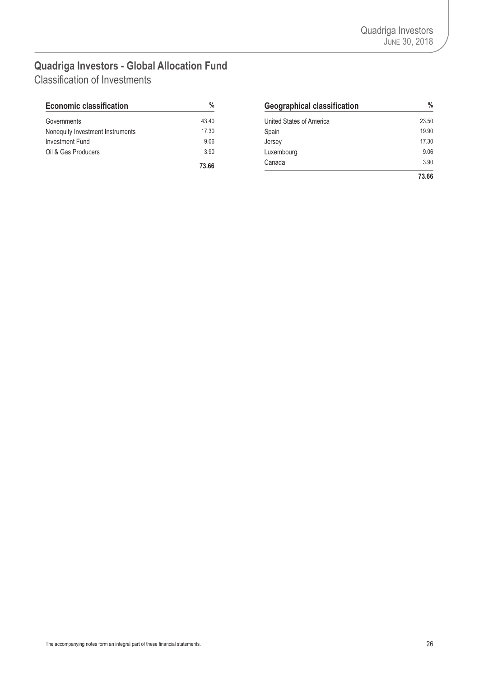### <span id="page-27-0"></span>**Quadriga Investors - Global Allocation Fund** Classification of Investments

| <b>Economic classification</b>   | %     |
|----------------------------------|-------|
| Governments                      | 43.40 |
| Nonequity Investment Instruments | 17.30 |
| Investment Fund                  | 9.06  |
| Oil & Gas Producers              | 3.90  |
|                                  | 73 RR |

| <b>Economic classification</b>   | %     | <b>Geographical classification</b> | $\frac{0}{0}$ |
|----------------------------------|-------|------------------------------------|---------------|
| Governments                      | 43.40 | United States of America           | 23.50         |
| Nonequity Investment Instruments | 17.30 | Spain                              | 19.90         |
| Investment Fund                  | 9.06  | Jersey                             | 17.30         |
| Oil & Gas Producers              | 3.90  | Luxembourg                         | 9.06          |
|                                  | 73.66 | Canada                             | 3.90          |
|                                  |       |                                    | 73.66         |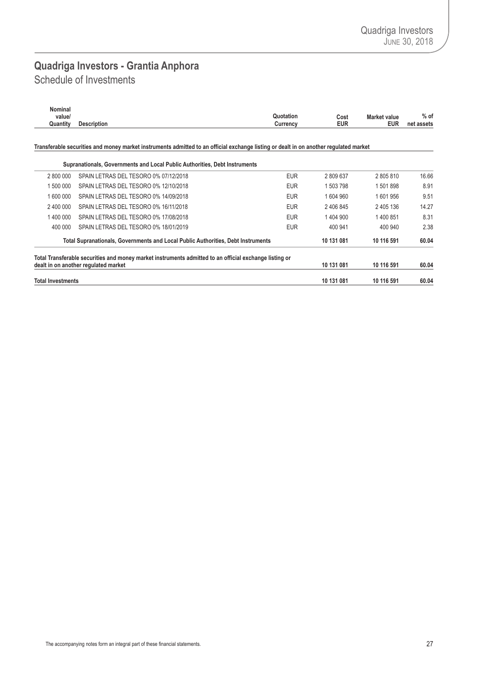### <span id="page-28-0"></span>Schedule of Investments **Quadriga Investors - Grantia Anphora**

| Nominal  |                    |                        |                     |            |
|----------|--------------------|------------------------|---------------------|------------|
| value/   |                    | Quotation<br>Cost      | <b>Market value</b> | $%$ of     |
| Quantity | <b>Description</b> | <b>EUR</b><br>Currencv | <b>EUR</b>          | net assets |
|          |                    |                        |                     |            |

Transferable securities and money market instruments admitted to an official exchange listing or dealt in on another regulated market

|                          | Supranationals, Governments and Local Public Authorities, Debt Instruments                                                                                                 |            |                          |            |       |
|--------------------------|----------------------------------------------------------------------------------------------------------------------------------------------------------------------------|------------|--------------------------|------------|-------|
| 2 800 000                | SPAIN LETRAS DEL TESORO 0% 07/12/2018                                                                                                                                      | <b>EUR</b> | 2809637                  | 2805810    | 16.66 |
| 1 500 000                | SPAIN LETRAS DEL TESORO 0% 12/10/2018                                                                                                                                      | <b>EUR</b> | 1 503 798                | 1501898    | 8.91  |
| 1 600 000                | SPAIN LETRAS DEL TESORO 0% 14/09/2018                                                                                                                                      | <b>EUR</b> | 1604960                  | 1601956    | 9.51  |
| 2 400 000                | SPAIN LETRAS DEL TESORO 0% 16/11/2018                                                                                                                                      | <b>EUR</b> | 2 406 845                | 2 405 136  | 14.27 |
| 1 400 000                | SPAIN LETRAS DEL TESORO 0% 17/08/2018                                                                                                                                      | <b>EUR</b> | 1404900                  | 1400851    | 8.31  |
| 400 000                  | SPAIN LETRAS DEL TESORO 0% 18/01/2019                                                                                                                                      | <b>EUR</b> | 400 941                  | 400 940    | 2.38  |
|                          | Total Supranationals, Governments and Local Public Authorities, Debt Instruments                                                                                           |            | 10 131 081<br>10 116 591 |            |       |
|                          | Total Transferable securities and money market instruments admitted to an official exchange listing or<br>dealt in on another regulated market<br>10 131 081<br>10 116 591 |            |                          |            |       |
| <b>Total Investments</b> |                                                                                                                                                                            |            | 10 131 081               | 10 116 591 | 60.04 |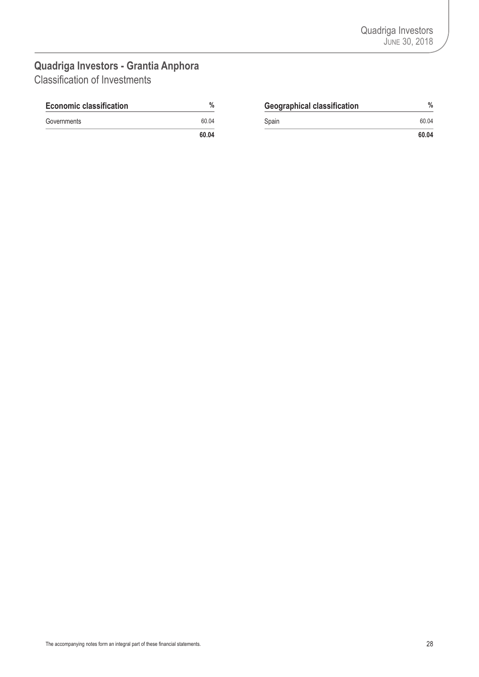### <span id="page-29-0"></span>**Quadriga Investors - Grantia Anphora** Classification of Investments

| <b>Economic classification</b> | %     | <b>Geographical classification</b> | 0/<br>π |
|--------------------------------|-------|------------------------------------|---------|
| Governments                    | 60.04 | Spain                              | 60.04   |

| $\%$  | <b>Geographical classification</b> | %     |
|-------|------------------------------------|-------|
| 60.04 | Spain                              | 60.04 |
| 60.04 |                                    | 60.04 |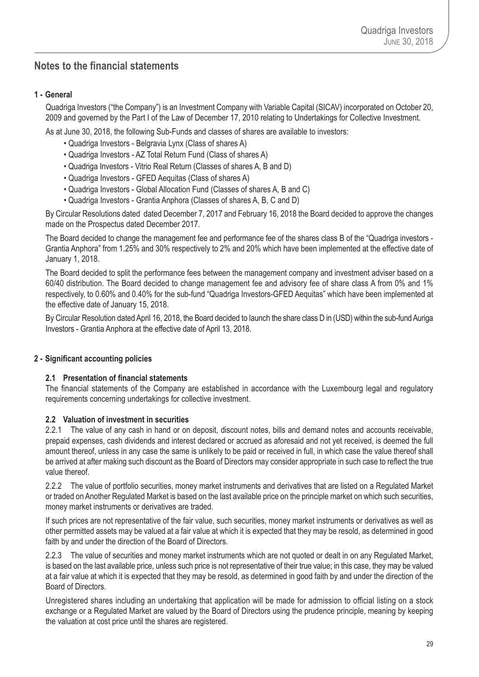### <span id="page-30-0"></span>**Notes to the financial statements**

### **1 - General**

Quadriga Investors ("the Company") is an Investment Company with Variable Capital (SICAV) incorporated on October 20, 2009 and governed by the Part I of the Law of December 17, 2010 relating to Undertakings for Collective Investment.

As at June 30, 2018, the following Sub-Funds and classes of shares are available to investors:

- Quadriga Investors Belgravia Lynx (Class of shares A)
- Quadriga Investors AZ Total Return Fund (Class of shares A)
- Quadriga Investors Vitrio Real Return (Classes of shares A, B and D)
- Quadriga Investors GFED Aequitas (Class of shares A)
- Quadriga Investors Global Allocation Fund (Classes of shares A, B and C)
- Quadriga Investors Grantia Anphora (Classes of shares A, B, C and D)

By Circular Resolutions dated dated December 7, 2017 and February 16, 2018 the Board decided to approve the changes made on the Prospectus dated December 2017.

The Board decided to change the management fee and performance fee of the shares class B of the "Quadriga investors - Grantia Anphora" from 1.25% and 30% respectively to 2% and 20% which have been implemented at the effective date of January 1, 2018.

The Board decided to split the performance fees between the management company and investment adviser based on a 60/40 distribution. The Board decided to change management fee and advisory fee of share class A from 0% and 1% respectively, to 0.60% and 0.40% for the sub-fund "Quadriga Investors-GFED Aequitas" which have been implemented at the effective date of January 15, 2018.

By Circular Resolution dated April 16, 2018, the Board decided to launch the share class D in (USD) within the sub-fundAuriga Investors - Grantia Anphora at the effective date of April 13, 2018.

### **2 - Significant accounting policies**

### **2.1 Presentation of financial statements**

The financial statements of the Company are established in accordance with the Luxembourg legal and regulatory requirements concerning undertakings for collective investment.

#### **2.2 Valuation of investment in securities**

2.2.1 The value of any cash in hand or on deposit, discount notes, bills and demand notes and accounts receivable, prepaid expenses, cash dividends and interest declared or accrued as aforesaid and not yet received, is deemed the full amount thereof, unless in any case the same is unlikely to be paid or received in full, in which case the value thereof shall be arrived at after making such discount as the Board of Directors may consider appropriate in such case to reflect the true value thereof.

2.2.2 The value of portfolio securities, money market instruments and derivatives that are listed on a Regulated Market or traded on Another Regulated Market is based on the last available price on the principle market on which such securities, money market instruments or derivatives are traded.

If such prices are not representative of the fair value, such securities, money market instruments or derivatives as well as other permitted assets may be valued at a fair value at which it is expected that they may be resold, as determined in good faith by and under the direction of the Board of Directors.

2.2.3 The value of securities and money market instruments which are not quoted or dealt in on any Regulated Market, is based on the last available price, unless such price is not representative of their true value; in this case, they may be valued at a fair value at which it is expected that they may be resold, as determined in good faith by and under the direction of the Board of Directors.

Unregistered shares including an undertaking that application will be made for admission to official listing on a stock exchange or a Regulated Market are valued by the Board of Directors using the prudence principle, meaning by keeping the valuation at cost price until the shares are registered.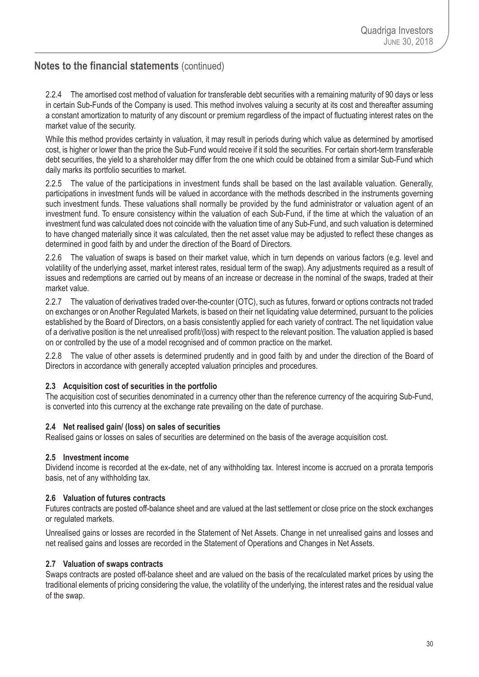2.2.4 The amortised cost method of valuation for transferable debt securities with a remaining maturity of 90 days or less in certain Sub-Funds of the Company is used. This method involves valuing a security at its cost and thereafter assuming a constant amortization to maturity of any discount or premium regardless of the impact of fluctuating interest rates on the market value of the security.

While this method provides certainty in valuation, it may result in periods during which value as determined by amortised cost, is higher or lower than the price the Sub-Fund would receive if it sold the securities. For certain short-term transferable debt securities, the yield to a shareholder may differ from the one which could be obtained from a similar Sub-Fund which daily marks its portfolio securities to market.

2.2.5 The value of the participations in investment funds shall be based on the last available valuation. Generally, participations in investment funds will be valued in accordance with the methods described in the instruments governing such investment funds. These valuations shall normally be provided by the fund administrator or valuation agent of an investment fund. To ensure consistency within the valuation of each Sub-Fund, if the time at which the valuation of an investment fund was calculated does not coincide with the valuation time of any Sub-Fund, and such valuation is determined to have changed materially since it was calculated, then the net asset value may be adjusted to reflect these changes as determined in good faith by and under the direction of the Board of Directors.

2.2.6 The valuation of swaps is based on their market value, which in turn depends on various factors (e.g. level and volatility of the underlying asset, market interest rates, residual term of the swap). Any adjustments required as a result of issues and redemptions are carried out by means of an increase or decrease in the nominal of the swaps, traded at their market value.

2.2.7 The valuation of derivatives traded over-the-counter (OTC), such as futures, forward or options contracts not traded on exchanges or on Another Regulated Markets, is based on their net liquidating value determined, pursuant to the policies established by the Board of Directors, on a basis consistently applied for each variety of contract. The net liquidation value of a derivative position is the net unrealised profit/(loss) with respect to the relevant position. The valuation applied is based on or controlled by the use of a model recognised and of common practice on the market.

2.2.8 The value of other assets is determined prudently and in good faith by and under the direction of the Board of Directors in accordance with generally accepted valuation principles and procedures.

### **2.3 Acquisition cost of securities in the portfolio**

The acquisition cost of securities denominated in a currency other than the reference currency of the acquiring Sub-Fund, is converted into this currency at the exchange rate prevailing on the date of purchase.

### **2.4 Net realised gain/ (loss) on sales of securities**

Realised gains or losses on sales of securities are determined on the basis of the average acquisition cost.

### **2.5 Investment income**

Dividend income is recorded at the ex-date, net of any withholding tax. Interest income is accrued on a prorata temporis basis, net of any withholding tax.

### **2.6 Valuation of futures contracts**

Futures contracts are posted off-balance sheet and are valued at the last settlement or close price on the stock exchanges or regulated markets.

Unrealised gains or losses are recorded in the Statement of Net Assets. Change in net unrealised gains and losses and net realised gains and losses are recorded in the Statement of Operations and Changes in Net Assets.

### **2.7 Valuation of swaps contracts**

Swaps contracts are posted off-balance sheet and are valued on the basis of the recalculated market prices by using the traditional elements of pricing considering the value, the volatility of the underlying, the interest rates and the residual value of the swap.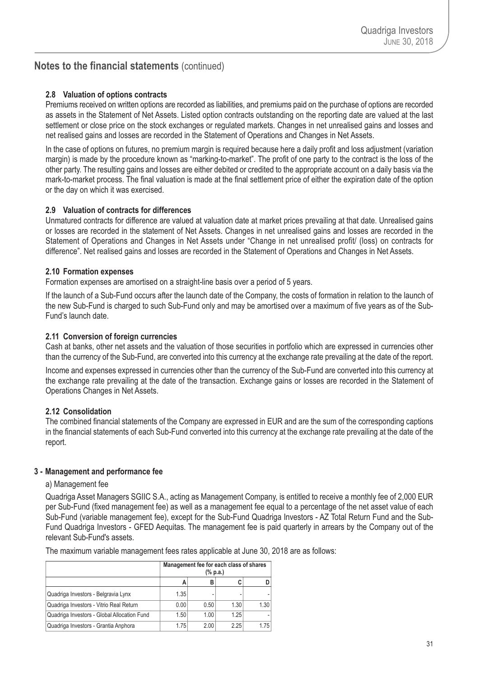### **2.8 Valuation of options contracts**

Premiums received on written options are recorded as liabilities, and premiums paid on the purchase of options are recorded as assets in the Statement of Net Assets. Listed option contracts outstanding on the reporting date are valued at the last settlement or close price on the stock exchanges or regulated markets. Changes in net unrealised gains and losses and net realised gains and losses are recorded in the Statement of Operations and Changes in Net Assets.

In the case of options on futures, no premium margin is required because here a daily profit and loss adjustment (variation margin) is made by the procedure known as "marking-to-market". The profit of one party to the contract is the loss of the other party. The resulting gains and losses are either debited or credited to the appropriate account on a daily basis via the mark-to-market process. The final valuation is made at the final settlement price of either the expiration date of the option or the day on which it was exercised.

### **2.9 Valuation of contracts for differences**

Unmatured contracts for difference are valued at valuation date at market prices prevailing at that date. Unrealised gains or losses are recorded in the statement of Net Assets. Changes in net unrealised gains and losses are recorded in the Statement of Operations and Changes in Net Assets under "Change in net unrealised profit/ (loss) on contracts for difference". Net realised gains and losses are recorded in the Statement of Operations and Changes in Net Assets.

#### **2.10 Formation expenses**

Formation expenses are amortised on a straight-line basis over a period of 5 years.

If the launch of a Sub-Fund occurs after the launch date of the Company, the costs of formation in relation to the launch of the new Sub-Fund is charged to such Sub-Fund only and may be amortised over a maximum of five years as of the Sub-Fund's launch date.

#### **2.11 Conversion of foreign currencies**

Cash at banks, other net assets and the valuation of those securities in portfolio which are expressed in currencies other than the currency of the Sub-Fund, are converted into this currency at the exchange rate prevailing at the date of the report.

Income and expenses expressed in currencies other than the currency of the Sub-Fund are converted into this currency at the exchange rate prevailing at the date of the transaction. Exchange gains or losses are recorded in the Statement of Operations Changes in Net Assets.

### **2.12 Consolidation**

The combined financial statements of the Company are expressed in EUR and are the sum of the corresponding captions in the financial statements of each Sub-Fund converted into this currency at the exchange rate prevailing at the date of the report.

### **3 - Management and performance fee**

#### a) Management fee

Quadriga Asset Managers SGIIC S.A., acting as Management Company, is entitled to receive a monthly fee of 2,000 EUR per Sub-Fund (fixed management fee) as well as a management fee equal to a percentage of the net asset value of each Sub-Fund (variable management fee), except for the Sub-Fund Quadriga Investors - AZ Total Return Fund and the Sub-Fund Quadriga Investors - GFED Aequitas. The management fee is paid quarterly in arrears by the Company out of the relevant Sub-Fund's assets.

The maximum variable management fees rates applicable at June 30, 2018 are as follows:

|                                             | Management fee for each class of shares<br>(% p.a.) |      |      |      |  |  |  |
|---------------------------------------------|-----------------------------------------------------|------|------|------|--|--|--|
|                                             | А                                                   |      |      |      |  |  |  |
| Quadriga Investors - Belgravia Lynx         | 1.35                                                |      |      |      |  |  |  |
| Quadriga Investors - Vitrio Real Return     | 0.00                                                | 0.50 | 1.30 | 1.30 |  |  |  |
| Quadriga Investors - Global Allocation Fund | 1.50                                                | 1.00 | 1.25 |      |  |  |  |
| Quadriga Investors - Grantia Anphora        | 1.75                                                | 2.00 | 2.25 | 1.75 |  |  |  |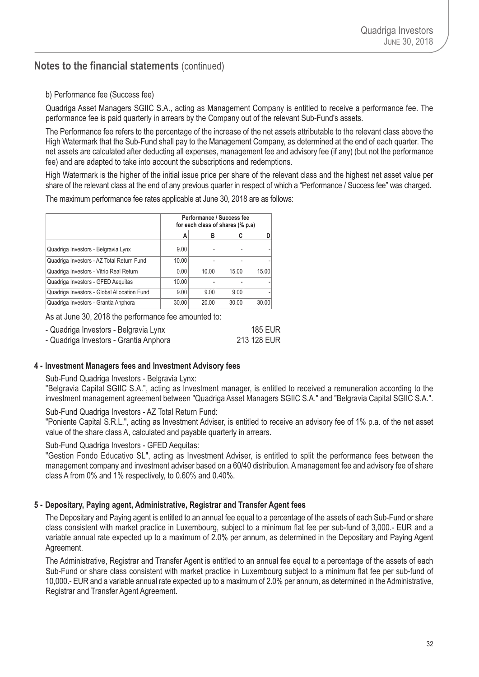### b) Performance fee (Success fee)

Quadriga Asset Managers SGIIC S.A., acting as Management Company is entitled to receive a performance fee. The performance fee is paid quarterly in arrears by the Company out of the relevant Sub-Fund's assets.

The Performance fee refers to the percentage of the increase of the net assets attributable to the relevant class above the High Watermark that the Sub-Fund shall pay to the Management Company, as determined at the end of each quarter. The net assets are calculated after deducting all expenses, management fee and advisory fee (if any) (but not the performance fee) and are adapted to take into account the subscriptions and redemptions.

High Watermark is the higher of the initial issue price per share of the relevant class and the highest net asset value per share of the relevant class at the end of any previous quarter in respect of which a "Performance / Success fee" was charged.

The maximum performance fee rates applicable at June 30, 2018 are as follows:

|                                             |       | Performance / Success fee<br>for each class of shares (% p.a) |       |       |  |  |  |
|---------------------------------------------|-------|---------------------------------------------------------------|-------|-------|--|--|--|
|                                             | А     | В                                                             |       |       |  |  |  |
| Quadriga Investors - Belgravia Lynx         | 9.00  |                                                               |       |       |  |  |  |
| Quadriga Investors - AZ Total Return Fund   | 10.00 |                                                               |       |       |  |  |  |
| Quadriga Investors - Vitrio Real Return     | 0.00  | 10.00                                                         | 15.00 | 15.00 |  |  |  |
| Quadriga Investors - GFED Aequitas          | 10.00 |                                                               |       |       |  |  |  |
| Quadriga Investors - Global Allocation Fund | 9.00  | 9.00                                                          | 9.00  |       |  |  |  |
| Quadriga Investors - Grantia Anphora        | 30.00 | 20.00                                                         | 30.00 | 30.00 |  |  |  |

As at June 30, 2018 the performance fee amounted to:

| - Quadriga Investors - Belgravia Lynx  | <b>185 EUR</b> |
|----------------------------------------|----------------|
| - Quadriga Investors - Grantia Anphora | 213 128 EUR    |

#### **4 - Investment Managers fees and Investment Advisory fees**

Sub-Fund Quadriga Investors - Belgravia Lynx:

"Belgravia Capital SGIIC S.A.", acting as Investment manager, is entitled to received a remuneration according to the investment management agreement between "Quadriga Asset Managers SGIIC S.A." and "Belgravia Capital SGIIC S.A.".

Sub-Fund Quadriga Investors - AZ Total Return Fund:

"Poniente Capital S.R.L.", acting as Investment Adviser, is entitled to receive an advisory fee of 1% p.a. of the net asset value of the share class A, calculated and payable quarterly in arrears.

Sub-Fund Quadriga Investors - GFED Aequitas:

"Gestion Fondo Educativo SL", acting as Investment Adviser, is entitled to split the performance fees between the management company and investment adviser based on a 60/40 distribution. Amanagement fee and advisory fee of share class A from 0% and 1% respectively, to 0.60% and 0.40%.

#### **5 - Depositary, Paying agent, Administrative, Registrar and Transfer Agent fees**

The Depositary and Paying agent is entitled to an annual fee equal to a percentage of the assets of each Sub-Fund or share class consistent with market practice in Luxembourg, subject to a minimum flat fee per sub-fund of 3,000.- EUR and a variable annual rate expected up to a maximum of 2.0% per annum, as determined in the Depositary and Paying Agent Agreement.

The Administrative, Registrar and Transfer Agent is entitled to an annual fee equal to a percentage of the assets of each Sub-Fund or share class consistent with market practice in Luxembourg subject to a minimum flat fee per sub-fund of 10,000.- EUR and a variable annual rate expected up to a maximum of 2.0% per annum, as determined in the Administrative, Registrar and Transfer Agent Agreement.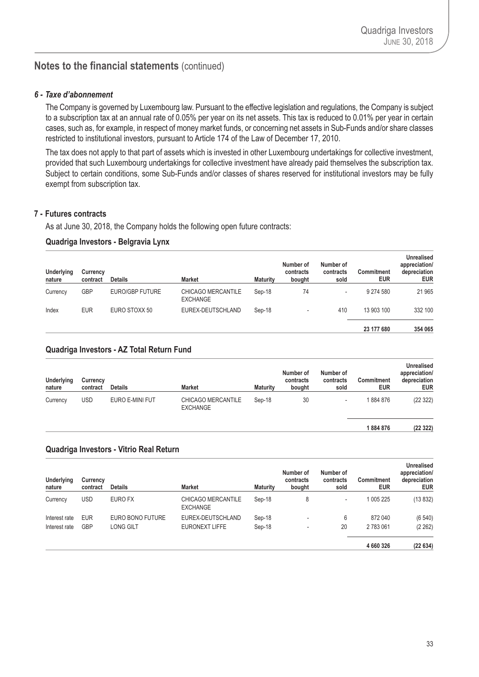#### *6 - Taxe d'abonnement*

The Company is governed by Luxembourg law. Pursuant to the effective legislation and regulations, the Company is subject to a subscription tax at an annual rate of 0.05% per year on its net assets. This tax is reduced to 0.01% per year in certain cases, such as, for example, in respect of money market funds, or concerning net assets in Sub-Funds and/or share classes restricted to institutional investors, pursuant to Article 174 of the Law of December 17, 2010.

The tax does not apply to that part of assets which is invested in other Luxembourg undertakings for collective investment, provided that such Luxembourg undertakings for collective investment have already paid themselves the subscription tax. Subject to certain conditions, some Sub-Funds and/or classes of shares reserved for institutional investors may be fully exempt from subscription tax.

#### **7 - Futures contracts**

As at June 30, 2018, the Company holds the following open future contracts:

#### **Quadriga Investors - Belgravia Lynx**

| <b>Underlying</b><br>nature | Currency<br>contract | <b>Details</b>  | <b>Market</b>                         | <b>Maturity</b> | Number of<br>contracts<br>bought | Number of<br>contracts<br>sold | Commitment<br><b>EUR</b> | <b>Unrealised</b><br>appreciation/<br>depreciation<br><b>EUR</b> |
|-----------------------------|----------------------|-----------------|---------------------------------------|-----------------|----------------------------------|--------------------------------|--------------------------|------------------------------------------------------------------|
| Currency                    | GBP                  | EURO/GBP FUTURE | CHICAGO MERCANTILE<br><b>EXCHANGE</b> | Sep-18          | 74                               | ۰                              | 9 274 580                | 21 965                                                           |
| Index                       | <b>EUR</b>           | EURO STOXX 50   | EUREX-DEUTSCHLAND                     | Sep-18          | $\overline{\phantom{a}}$         | 410                            | 13 903 100               | 332 100                                                          |
|                             |                      |                 |                                       |                 |                                  |                                | 23 177 680               | 354 065                                                          |

#### **Quadriga Investors - AZ Total Return Fund**

| <b>Underlying</b><br>nature | Currency<br>contract | <b>Details</b>  | <b>Market</b>                         | <b>Maturity</b> | Number of<br>contracts<br>bought | Number of<br>contracts<br>sold | <b>Commitment</b><br><b>EUR</b> | <b>Unrealised</b><br>appreciation/<br>depreciation<br><b>EUR</b> |
|-----------------------------|----------------------|-----------------|---------------------------------------|-----------------|----------------------------------|--------------------------------|---------------------------------|------------------------------------------------------------------|
| Currency                    | USD                  | EURO E-MINI FUT | CHICAGO MERCANTILE<br><b>EXCHANGE</b> | Sep-18          | 30                               | $\overline{\phantom{a}}$       | 1884876                         | (22 322)                                                         |
|                             |                      |                 |                                       |                 |                                  |                                | 1884876                         | (2232)                                                           |

#### **Quadriga Investors - Vitrio Real Return**

| <b>Underlying</b><br>nature | Currency<br>contract | <b>Details</b>   | <b>Market</b>                         | <b>Maturity</b> | Number of<br>contracts<br>bought | Number of<br>contracts<br>sold | <b>Commitment</b><br><b>EUR</b> | <b>Unrealised</b><br>appreciation/<br>depreciation<br><b>EUR</b> |
|-----------------------------|----------------------|------------------|---------------------------------------|-----------------|----------------------------------|--------------------------------|---------------------------------|------------------------------------------------------------------|
| Currency                    | USD                  | EURO FX          | CHICAGO MERCANTILE<br><b>EXCHANGE</b> | Sep-18          | 8                                | ۰                              | 1 005 225                       | (13 832)                                                         |
| Interest rate               | <b>EUR</b>           | EURO BONO FUTURE | EUREX-DEUTSCHLAND                     | Sep-18          | $\overline{\phantom{a}}$         | 6                              | 872 040                         | (6540)                                                           |
| Interest rate               | <b>GBP</b>           | <b>LONG GILT</b> | EURONEXT LIFFE                        | Sep-18          | ٠                                | 20                             | 2783061                         | (2 262)                                                          |
|                             |                      |                  |                                       |                 |                                  |                                | 4 660 326                       | (22634)                                                          |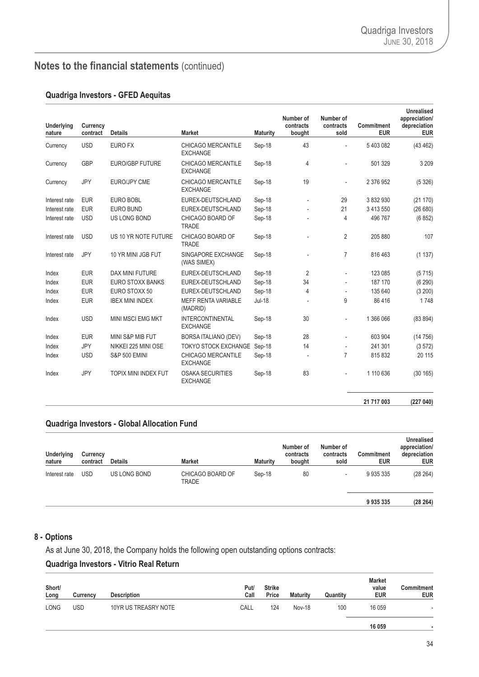#### **Quadriga Investors - GFED Aequitas**

| <b>Underlying</b><br>nature | Currency<br>contract | <b>Details</b>           | <b>Market</b>                                | <b>Maturity</b> | Number of<br>contracts<br>bought | Number of<br>contracts<br>sold | <b>Commitment</b><br><b>EUR</b> | <b>Unrealised</b><br>appreciation/<br>depreciation<br><b>EUR</b> |
|-----------------------------|----------------------|--------------------------|----------------------------------------------|-----------------|----------------------------------|--------------------------------|---------------------------------|------------------------------------------------------------------|
| Currency                    | <b>USD</b>           | <b>EURO FX</b>           | CHICAGO MERCANTILE<br><b>EXCHANGE</b>        | Sep-18          | 43                               |                                | 5403082                         | (43 462)                                                         |
| Currency                    | <b>GBP</b>           | <b>EURO/GBP FUTURE</b>   | <b>CHICAGO MERCANTILE</b><br><b>EXCHANGE</b> | Sep-18          | 4                                |                                | 501 329                         | 3 2 0 9                                                          |
| Currency                    | JPY                  | <b>EURO/JPY CME</b>      | CHICAGO MERCANTILE<br><b>EXCHANGE</b>        | Sep-18          | 19                               | $\overline{\phantom{a}}$       | 2 376 952                       | (5326)                                                           |
| Interest rate               | <b>EUR</b>           | <b>EURO BOBL</b>         | EUREX-DEUTSCHLAND                            | Sep-18          | Ĭ.                               | 29                             | 3 832 930                       | (21170)                                                          |
| Interest rate               | <b>EUR</b>           | <b>EURO BUND</b>         | EUREX-DEUTSCHLAND                            | Sep-18          |                                  | 21                             | 3 4 1 3 5 5 0                   | (26680)                                                          |
| Interest rate               | <b>USD</b>           | US LONG BOND             | CHICAGO BOARD OF<br><b>TRADE</b>             | Sep-18          |                                  | 4                              | 496 767                         | (6852)                                                           |
| Interest rate               | <b>USD</b>           | US 10 YR NOTE FUTURE     | CHICAGO BOARD OF<br><b>TRADE</b>             | Sep-18          |                                  | $\overline{2}$                 | 205 880                         | 107                                                              |
| Interest rate               | <b>JPY</b>           | 10 YR MINI JGB FUT       | SINGAPORE EXCHANGE<br>(WAS SIMEX)            | Sep-18          | ٠                                | $\overline{7}$                 | 816 463                         | (1137)                                                           |
| Index                       | <b>EUR</b>           | DAX MINI FUTURE          | EUREX-DEUTSCHLAND                            | Sep-18          | $\overline{2}$                   |                                | 123 085                         | (5715)                                                           |
| Index                       | <b>EUR</b>           | <b>EURO STOXX BANKS</b>  | EUREX-DEUTSCHLAND                            | Sep-18          | 34                               |                                | 187 170                         | (6290)                                                           |
| Index                       | <b>EUR</b>           | EURO STOXX 50            | EUREX-DEUTSCHLAND                            | Sep-18          | $\overline{4}$                   |                                | 135 640                         | (3 200)                                                          |
| Index                       | <b>EUR</b>           | <b>IBEX MINI INDEX</b>   | <b>MEFF RENTA VARIABLE</b><br>(MADRID)       | $Jul-18$        | Ĭ.                               | 9                              | 86 416                          | 1748                                                             |
| Index                       | <b>USD</b>           | <b>MINI MSCI EMG MKT</b> | <b>INTERCONTINENTAL</b><br><b>EXCHANGE</b>   | Sep-18          | 30                               |                                | 1 366 066                       | (83 894)                                                         |
| Index                       | <b>EUR</b>           | MINI S&P MIB FUT         | <b>BORSA ITALIANO (DEV)</b>                  | Sep-18          | 28                               |                                | 603 904                         | (14756)                                                          |
| Index                       | <b>JPY</b>           | NIKKEI 225 MINI OSE      | TOKYO STOCK EXCHANGE Sep-18                  |                 | 14                               |                                | 241 301                         | (3572)                                                           |
| Index                       | <b>USD</b>           | <b>S&amp;P 500 EMINI</b> | CHICAGO MERCANTILE<br><b>EXCHANGE</b>        | Sep-18          | ÷,                               | $\overline{7}$                 | 815 832                         | 20 115                                                           |
| Index                       | <b>JPY</b>           | TOPIX MINI INDEX FUT     | <b>OSAKA SECURITIES</b><br><b>EXCHANGE</b>   | Sep-18          | 83                               |                                | 1 110 636                       | (30165)                                                          |
|                             |                      |                          |                                              |                 |                                  |                                | 21 717 003                      | (227040)                                                         |

### **Quadriga Investors - Global Allocation Fund**

| <b>Underlying</b><br>nature | Currency<br>contract | <b>Details</b> | <b>Market</b>             | <b>Maturity</b> | Number of<br>contracts<br>bought | Number of<br>contracts<br>sold | <b>Commitment</b><br><b>EUR</b> | <b>Unrealised</b><br>appreciation/<br>depreciation<br><b>EUR</b> |
|-----------------------------|----------------------|----------------|---------------------------|-----------------|----------------------------------|--------------------------------|---------------------------------|------------------------------------------------------------------|
| Interest rate               | <b>USD</b>           | US LONG BOND   | CHICAGO BOARD OF<br>TRADE | Sep-18          | 80                               | ۰                              | 9935335                         | (28 264)                                                         |
|                             |                      |                |                           |                 |                                  |                                | 9935335                         | (28 264)                                                         |

#### **8 - Options**

As at June 30, 2018, the Company holds the following open outstanding options contracts:

### **Quadriga Investors - Vitrio Real Return**

| Short/<br>Long | Currency | <b>Description</b>   | Put/<br>Call | <b>Strike</b><br>Price | <b>Maturity</b> | Quantity | <b>Market</b><br>value<br><b>EUR</b> | Commitment<br><b>EUR</b> |
|----------------|----------|----------------------|--------------|------------------------|-----------------|----------|--------------------------------------|--------------------------|
| <b>LONG</b>    | USD      | 10YR US TREASRY NOTE | CALL         | 124                    | <b>Nov-18</b>   | 100      | 16 059                               |                          |
|                |          |                      |              |                        |                 |          | 16 059                               |                          |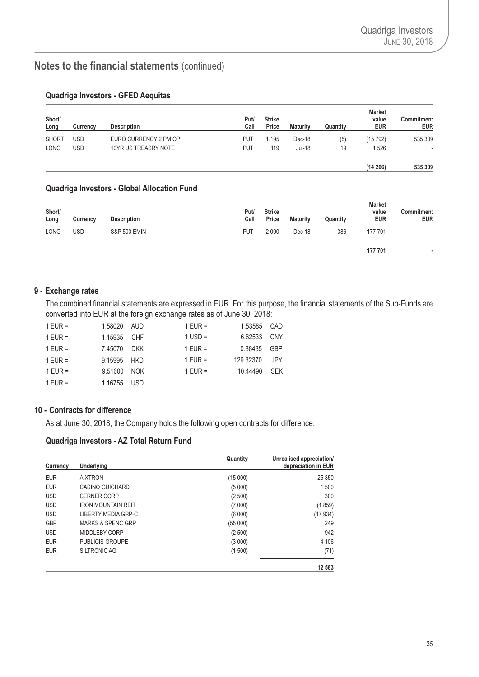| Short/<br>Long | Currency   | <b>Description</b>    | Put/<br>Call | <b>Strike</b><br>Price | <b>Maturity</b> | Quantity | <b>Market</b><br>value<br><b>EUR</b> | Commitment<br><b>EUR</b> |
|----------------|------------|-----------------------|--------------|------------------------|-----------------|----------|--------------------------------------|--------------------------|
| <b>SHORT</b>   | <b>USD</b> | EURO CURRENCY 2 PM OP | PUT          | 1.195                  | Dec-18          | (5)      | (15 792)                             | 535 309                  |
| LONG           | USD        | 10YR US TREASRY NOTE  | <b>PUT</b>   | 119                    | Jul-18          | 19       | 1526                                 |                          |
|                |            |                       |              |                        |                 |          | (14266)                              | 535 309                  |

### **Quadriga Investors - GFED Aequitas**

#### **Quadriga Investors - Global Allocation Fund**

| Short/<br>Long | Currency | <b>Description</b>      | Put/<br>Call | <b>Strike</b><br>Price | <b>Maturity</b> | Quantity | <b>Market</b><br>value<br><b>EUR</b> | Commitment<br><b>EUR</b> |
|----------------|----------|-------------------------|--------------|------------------------|-----------------|----------|--------------------------------------|--------------------------|
| <b>LONG</b>    | USD      | <b>S&amp;P 500 EMIN</b> | PUT          | 2 0 0 0                | Dec-18          | 386      | 177701                               |                          |
|                |          |                         |              |                        |                 |          | 177 701                              |                          |

#### **9 - Exchange rates**

The combined financial statements are expressed in EUR. For this purpose, the financial statements of the Sub-Funds are converted into EUR at the foreign exchange rates as of June 30, 2018:

| 1 EUR =   | 1.58020 AUD |     | $1$ EUR = | 1.53585 CAD |            |
|-----------|-------------|-----|-----------|-------------|------------|
| 1 EUR =   | 1.15935 CHF |     | $1$ USD = | 6.62533     | <b>CNY</b> |
| 1 EUR =   | 7.45070 DKK |     | $1$ EUR = | 0.88435 GBP |            |
| 1 EUR =   | 9.15995 HKD |     | $1$ EUR = | 129.32370   | JPY.       |
| $1$ EUR = | 9.51600 NOK |     | $1$ EUR = | 10.44490    | SFK        |
| $1$ EUR = | 1.16755     | USD |           |             |            |

#### **10 - Contracts for difference**

As at June 30, 2018, the Company holds the following open contracts for difference:

#### **Quadriga Investors - AZ Total Return Fund**

| <b>Currency</b> | Underlying                   | Quantity | Unrealised appreciation/<br>depreciation in EUR |
|-----------------|------------------------------|----------|-------------------------------------------------|
| <b>EUR</b>      | <b>AIXTRON</b>               | (15000)  | 25 350                                          |
| <b>EUR</b>      | <b>CASINO GUICHARD</b>       | (5000)   | 1500                                            |
| <b>USD</b>      | <b>CERNER CORP</b>           | (2500)   | 300                                             |
| <b>USD</b>      | <b>IRON MOUNTAIN REIT</b>    | (7000)   | (1859)                                          |
| <b>USD</b>      | LIBERTY MEDIA GRP-C          | (6000)   | (17 934)                                        |
| <b>GBP</b>      | <b>MARKS &amp; SPENC GRP</b> | (55000)  | 249                                             |
| <b>USD</b>      | MIDDLEBY CORP                | (2500)   | 942                                             |
| <b>EUR</b>      | <b>PUBLICIS GROUPE</b>       | (3000)   | 4 10 6                                          |
| <b>EUR</b>      | SILTRONIC AG                 | (1500)   | (71)                                            |
|                 |                              |          | 12 583                                          |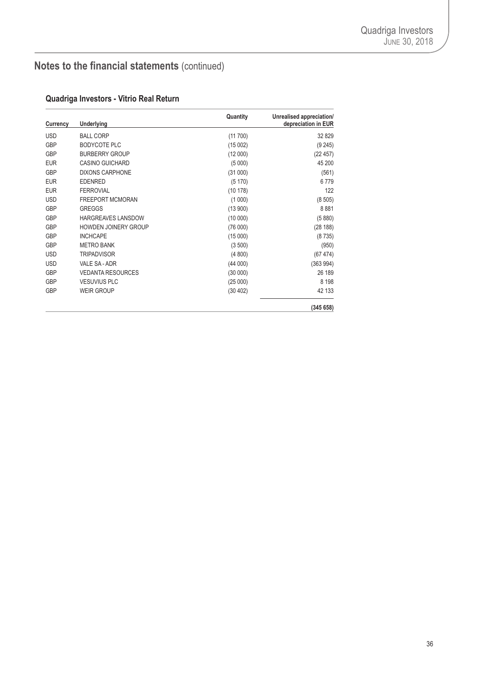### **Quadriga Investors - Vitrio Real Return**

| Currency   | <b>Underlying</b>           | Quantity | Unrealised appreciation/<br>depreciation in EUR |
|------------|-----------------------------|----------|-------------------------------------------------|
| <b>USD</b> | <b>BALL CORP</b>            | (11700)  | 32 829                                          |
| <b>GBP</b> | <b>BODYCOTE PLC</b>         | (15002)  | (9245)                                          |
| <b>GBP</b> | <b>BURBERRY GROUP</b>       | (12000)  | (22457)                                         |
| <b>EUR</b> | <b>CASINO GUICHARD</b>      | (5000)   | 45 200                                          |
| <b>GBP</b> | <b>DIXONS CARPHONE</b>      | (31000)  | (561)                                           |
| <b>EUR</b> | <b>EDENRED</b>              | (5170)   | 6779                                            |
| <b>EUR</b> | <b>FERROVIAL</b>            | (10178)  | 122                                             |
| <b>USD</b> | <b>FREEPORT MCMORAN</b>     | (1000)   | (8505)                                          |
| <b>GBP</b> | <b>GREGGS</b>               | (13900)  | 8881                                            |
| <b>GBP</b> | HARGREAVES LANSDOW          | (10000)  | (5880)                                          |
| <b>GBP</b> | <b>HOWDEN JOINERY GROUP</b> | (76000)  | (28 188)                                        |
| <b>GBP</b> | <b>INCHCAPE</b>             | (15000)  | (8735)                                          |
| <b>GBP</b> | <b>METRO BANK</b>           | (3500)   | (950)                                           |
| <b>USD</b> | <b>TRIPADVISOR</b>          | (4800)   | (67474)                                         |
| <b>USD</b> | VALE SA - ADR               | (44000)  | (363994)                                        |
| <b>GBP</b> | <b>VEDANTA RESOURCES</b>    | (30000)  | 26 189                                          |
| <b>GBP</b> | <b>VESUVIUS PLC</b>         | (25000)  | 8 1 9 8                                         |
| <b>GBP</b> | <b>WEIR GROUP</b>           | (30 402) | 42 133                                          |
|            |                             |          | (345658)                                        |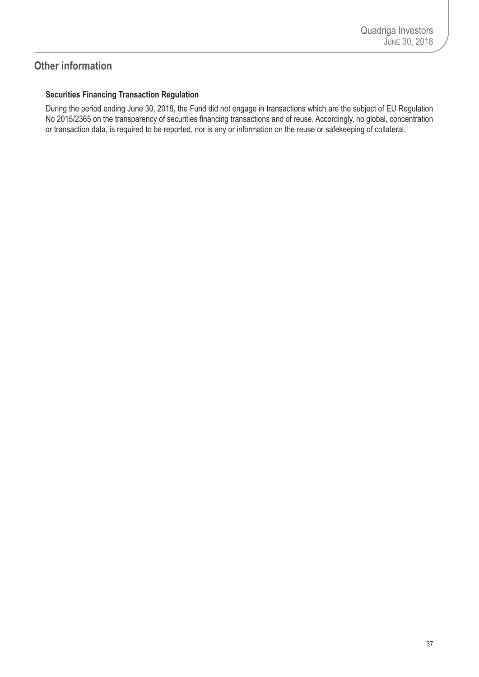### <span id="page-38-0"></span>**Other information**

### **Securities Financing Transaction Regulation**

During the period ending June 30, 2018, the Fund did not engage in transactions which are the subject of EU Regulation No 2015/2365 on the transparency of securities financing transactions and of reuse. Accordingly, no global, concentration or transaction data, is required to be reported, nor is any or information on the reuse or safekeeping of collateral.